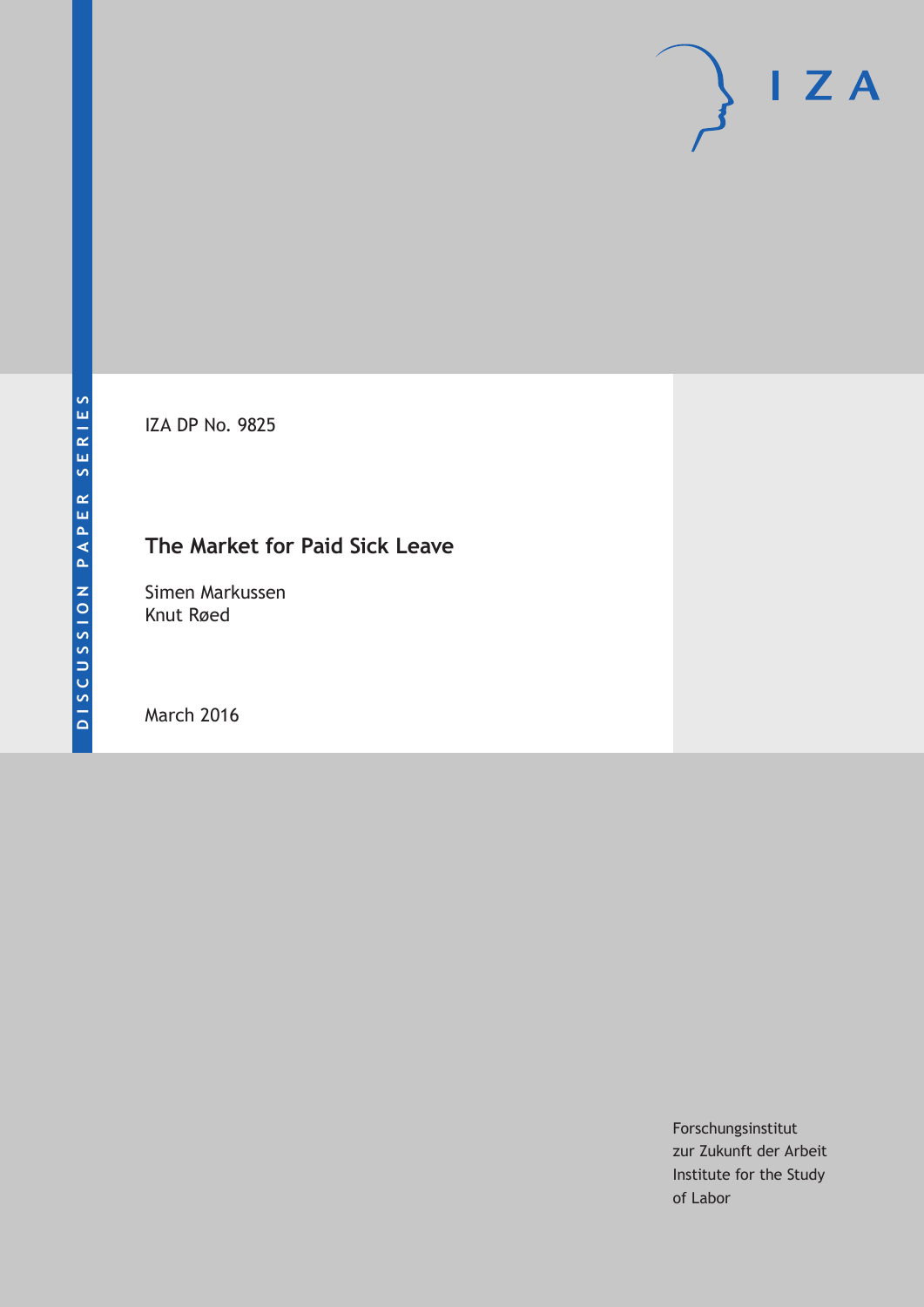IZA DP No. 9825

## **The Market for Paid Sick Leave**

Simen Markussen Knut Røed

March 2016

Forschungsinstitut zur Zukunft der Arbeit Institute for the Study of Labor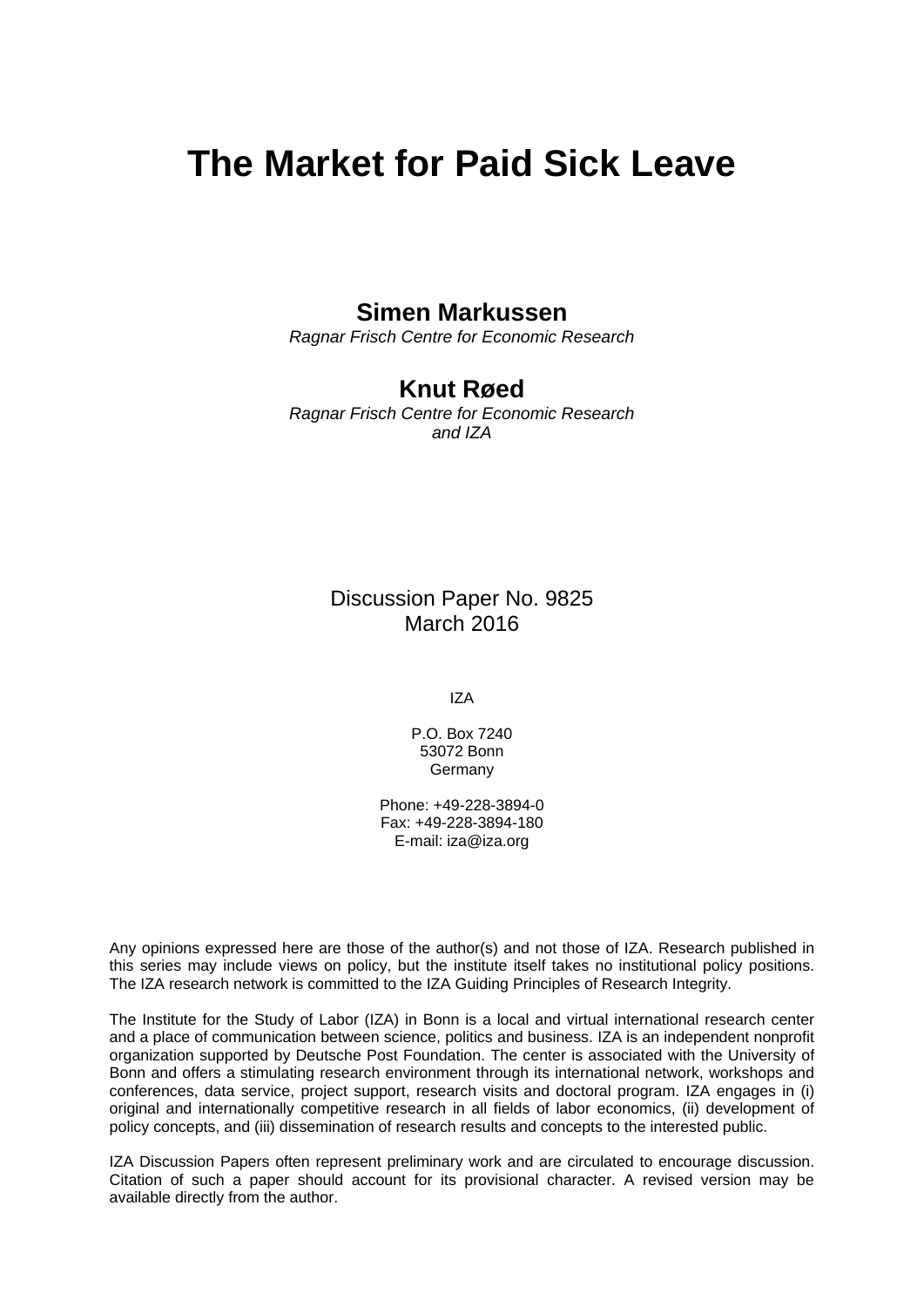# **The Market for Paid Sick Leave**

## **Simen Markussen**

*Ragnar Frisch Centre for Economic Research* 

### **Knut Røed**

*Ragnar Frisch Centre for Economic Research and IZA* 

> Discussion Paper No. 9825 March 2016

> > IZA

P.O. Box 7240 53072 Bonn Germany

Phone: +49-228-3894-0 Fax: +49-228-3894-180 E-mail: iza@iza.org

Any opinions expressed here are those of the author(s) and not those of IZA. Research published in this series may include views on policy, but the institute itself takes no institutional policy positions. The IZA research network is committed to the IZA Guiding Principles of Research Integrity.

The Institute for the Study of Labor (IZA) in Bonn is a local and virtual international research center and a place of communication between science, politics and business. IZA is an independent nonprofit organization supported by Deutsche Post Foundation. The center is associated with the University of Bonn and offers a stimulating research environment through its international network, workshops and conferences, data service, project support, research visits and doctoral program. IZA engages in (i) original and internationally competitive research in all fields of labor economics, (ii) development of policy concepts, and (iii) dissemination of research results and concepts to the interested public.

IZA Discussion Papers often represent preliminary work and are circulated to encourage discussion. Citation of such a paper should account for its provisional character. A revised version may be available directly from the author.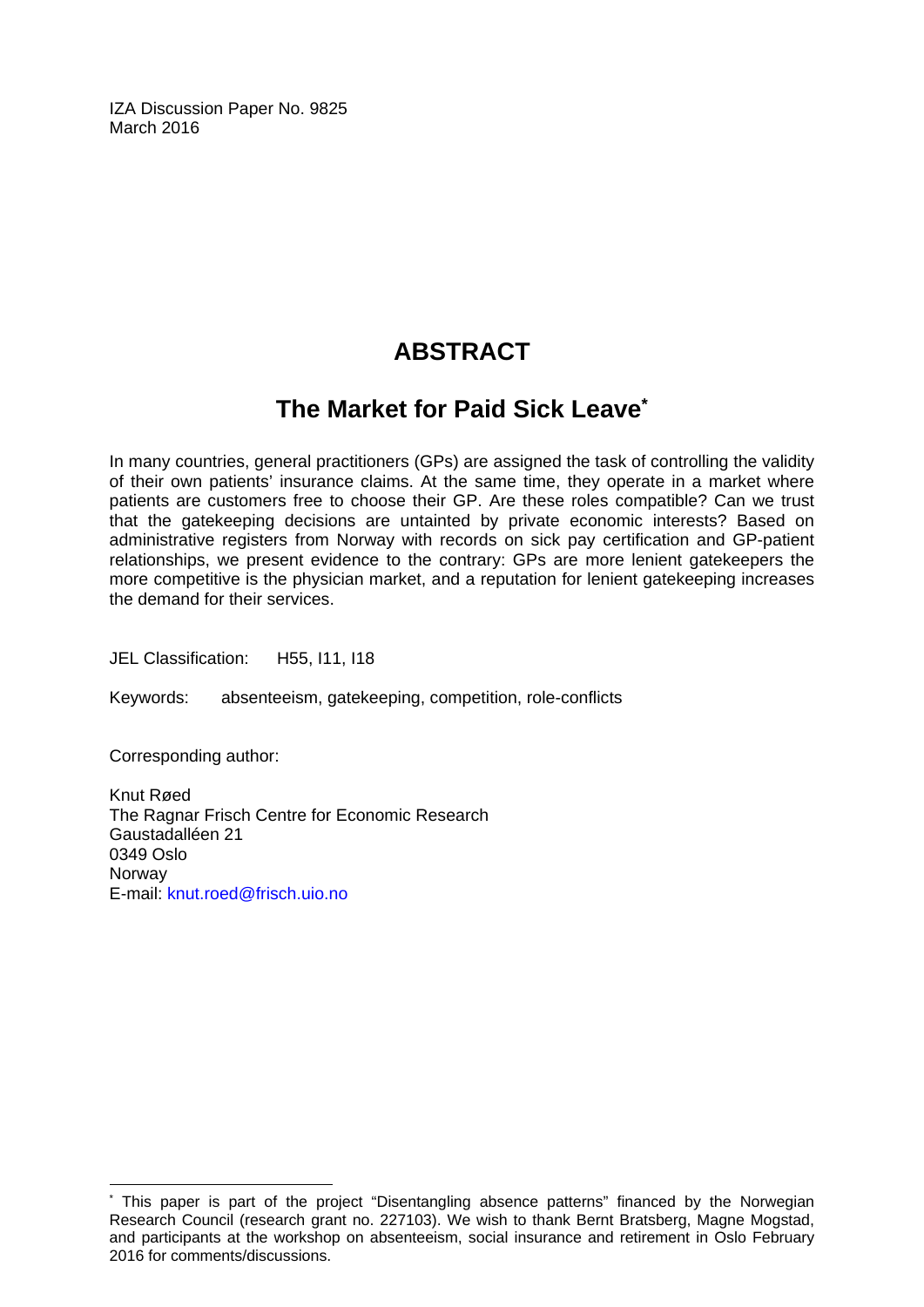IZA Discussion Paper No. 9825 March 2016

# **ABSTRACT**

## **The Market for Paid Sick Leave\***

In many countries, general practitioners (GPs) are assigned the task of controlling the validity of their own patients' insurance claims. At the same time, they operate in a market where patients are customers free to choose their GP. Are these roles compatible? Can we trust that the gatekeeping decisions are untainted by private economic interests? Based on administrative registers from Norway with records on sick pay certification and GP-patient relationships, we present evidence to the contrary: GPs are more lenient gatekeepers the more competitive is the physician market, and a reputation for lenient gatekeeping increases the demand for their services.

JEL Classification: H55, I11, I18

Keywords: absenteeism, gatekeeping, competition, role-conflicts

Corresponding author:

 $\overline{a}$ 

Knut Røed The Ragnar Frisch Centre for Economic Research Gaustadalléen 21 0349 Oslo Norway E-mail: knut.roed@frisch.uio.no

<sup>\*</sup> This paper is part of the project "Disentangling absence patterns" financed by the Norwegian Research Council (research grant no. 227103). We wish to thank Bernt Bratsberg, Magne Mogstad, and participants at the workshop on absenteeism, social insurance and retirement in Oslo February 2016 for comments/discussions.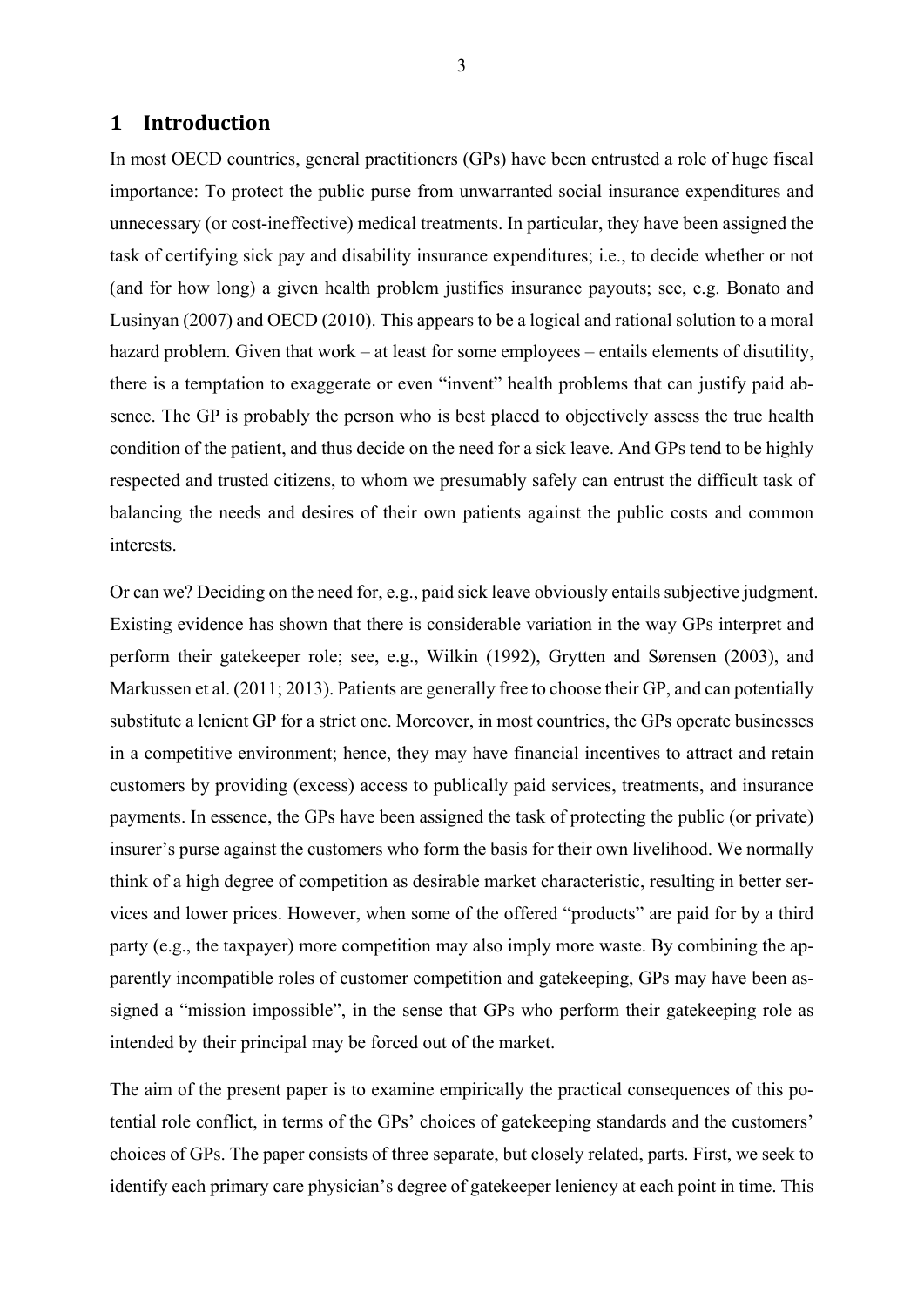#### **1 Introduction**

In most OECD countries, general practitioners (GPs) have been entrusted a role of huge fiscal importance: To protect the public purse from unwarranted social insurance expenditures and unnecessary (or cost-ineffective) medical treatments. In particular, they have been assigned the task of certifying sick pay and disability insurance expenditures; i.e., to decide whether or not (and for how long) a given health problem justifies insurance payouts; see, e.g. Bonato and Lusinyan (2007) and OECD (2010). This appears to be a logical and rational solution to a moral hazard problem. Given that work – at least for some employees – entails elements of disutility, there is a temptation to exaggerate or even "invent" health problems that can justify paid absence. The GP is probably the person who is best placed to objectively assess the true health condition of the patient, and thus decide on the need for a sick leave. And GPs tend to be highly respected and trusted citizens, to whom we presumably safely can entrust the difficult task of balancing the needs and desires of their own patients against the public costs and common interests.

Or can we? Deciding on the need for, e.g., paid sick leave obviously entails subjective judgment. Existing evidence has shown that there is considerable variation in the way GPs interpret and perform their gatekeeper role; see, e.g., Wilkin (1992), Grytten and Sørensen (2003), and Markussen et al. (2011; 2013). Patients are generally free to choose their GP, and can potentially substitute a lenient GP for a strict one. Moreover, in most countries, the GPs operate businesses in a competitive environment; hence, they may have financial incentives to attract and retain customers by providing (excess) access to publically paid services, treatments, and insurance payments. In essence, the GPs have been assigned the task of protecting the public (or private) insurer's purse against the customers who form the basis for their own livelihood. We normally think of a high degree of competition as desirable market characteristic, resulting in better services and lower prices. However, when some of the offered "products" are paid for by a third party (e.g., the taxpayer) more competition may also imply more waste. By combining the apparently incompatible roles of customer competition and gatekeeping, GPs may have been assigned a "mission impossible", in the sense that GPs who perform their gatekeeping role as intended by their principal may be forced out of the market.

The aim of the present paper is to examine empirically the practical consequences of this potential role conflict, in terms of the GPs' choices of gatekeeping standards and the customers' choices of GPs. The paper consists of three separate, but closely related, parts. First, we seek to identify each primary care physician's degree of gatekeeper leniency at each point in time. This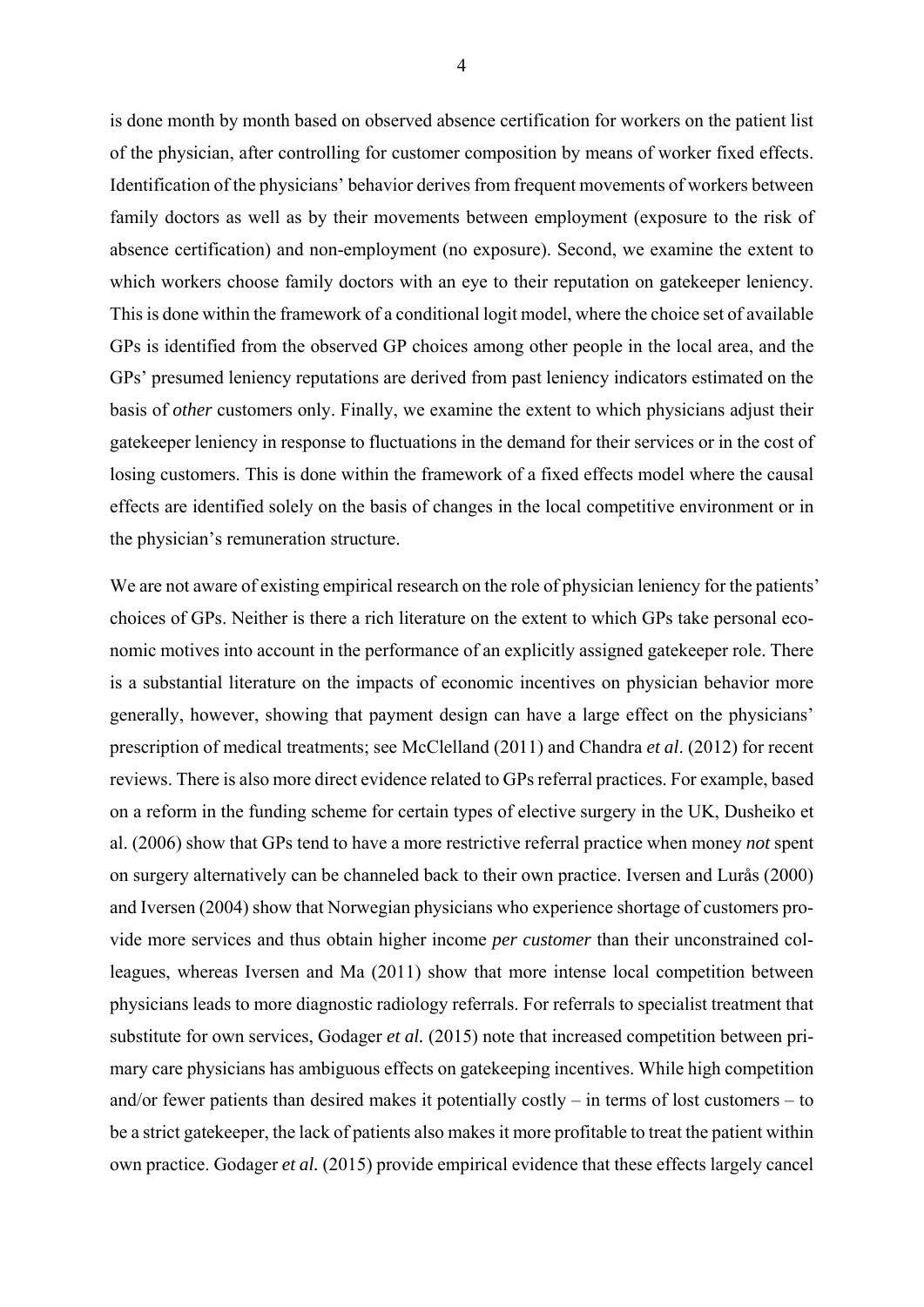is done month by month based on observed absence certification for workers on the patient list of the physician, after controlling for customer composition by means of worker fixed effects. Identification of the physicians' behavior derives from frequent movements of workers between family doctors as well as by their movements between employment (exposure to the risk of absence certification) and non-employment (no exposure). Second, we examine the extent to which workers choose family doctors with an eye to their reputation on gatekeeper leniency. This is done within the framework of a conditional logit model, where the choice set of available GPs is identified from the observed GP choices among other people in the local area, and the GPs' presumed leniency reputations are derived from past leniency indicators estimated on the basis of *other* customers only. Finally, we examine the extent to which physicians adjust their gatekeeper leniency in response to fluctuations in the demand for their services or in the cost of losing customers. This is done within the framework of a fixed effects model where the causal effects are identified solely on the basis of changes in the local competitive environment or in the physician's remuneration structure.

We are not aware of existing empirical research on the role of physician leniency for the patients' choices of GPs. Neither is there a rich literature on the extent to which GPs take personal economic motives into account in the performance of an explicitly assigned gatekeeper role. There is a substantial literature on the impacts of economic incentives on physician behavior more generally, however, showing that payment design can have a large effect on the physicians' prescription of medical treatments; see McClelland (2011) and Chandra *et al*. (2012) for recent reviews. There is also more direct evidence related to GPs referral practices. For example, based on a reform in the funding scheme for certain types of elective surgery in the UK, Dusheiko et al. (2006) show that GPs tend to have a more restrictive referral practice when money *not* spent on surgery alternatively can be channeled back to their own practice. Iversen and Lurås (2000) and Iversen (2004) show that Norwegian physicians who experience shortage of customers provide more services and thus obtain higher income *per customer* than their unconstrained colleagues, whereas Iversen and Ma (2011) show that more intense local competition between physicians leads to more diagnostic radiology referrals. For referrals to specialist treatment that substitute for own services, Godager *et al.* (2015) note that increased competition between primary care physicians has ambiguous effects on gatekeeping incentives. While high competition and/or fewer patients than desired makes it potentially costly – in terms of lost customers – to be a strict gatekeeper, the lack of patients also makes it more profitable to treat the patient within own practice. Godager *et al.* (2015) provide empirical evidence that these effects largely cancel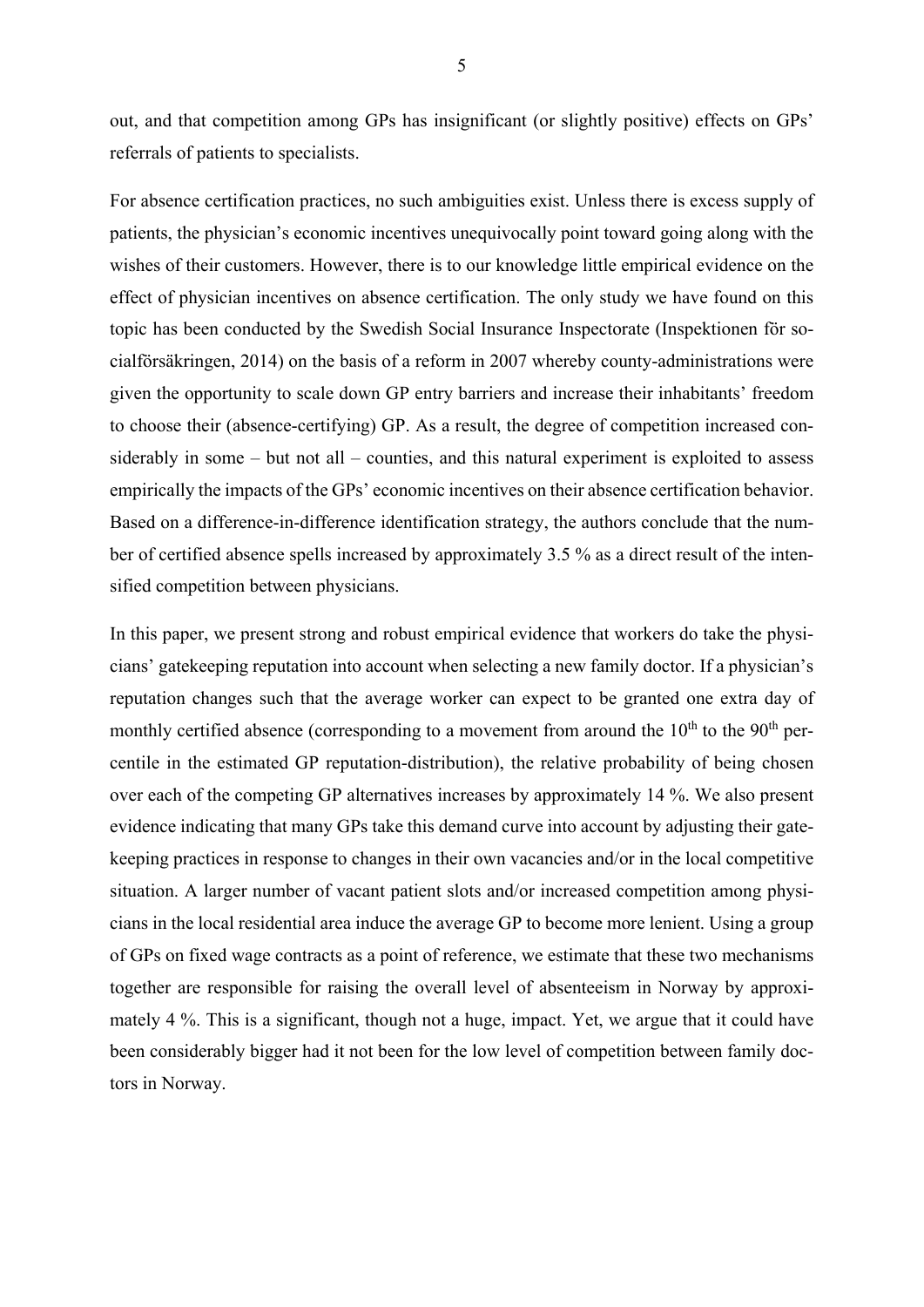out, and that competition among GPs has insignificant (or slightly positive) effects on GPs' referrals of patients to specialists.

For absence certification practices, no such ambiguities exist. Unless there is excess supply of patients, the physician's economic incentives unequivocally point toward going along with the wishes of their customers. However, there is to our knowledge little empirical evidence on the effect of physician incentives on absence certification. The only study we have found on this topic has been conducted by the Swedish Social Insurance Inspectorate (Inspektionen för socialförsäkringen, 2014) on the basis of a reform in 2007 whereby county-administrations were given the opportunity to scale down GP entry barriers and increase their inhabitants' freedom to choose their (absence-certifying) GP. As a result, the degree of competition increased considerably in some – but not all – counties, and this natural experiment is exploited to assess empirically the impacts of the GPs' economic incentives on their absence certification behavior. Based on a difference-in-difference identification strategy, the authors conclude that the number of certified absence spells increased by approximately 3.5 % as a direct result of the intensified competition between physicians.

In this paper, we present strong and robust empirical evidence that workers do take the physicians' gatekeeping reputation into account when selecting a new family doctor. If a physician's reputation changes such that the average worker can expect to be granted one extra day of monthly certified absence (corresponding to a movement from around the  $10<sup>th</sup>$  to the  $90<sup>th</sup>$  percentile in the estimated GP reputation-distribution), the relative probability of being chosen over each of the competing GP alternatives increases by approximately 14 %. We also present evidence indicating that many GPs take this demand curve into account by adjusting their gatekeeping practices in response to changes in their own vacancies and/or in the local competitive situation. A larger number of vacant patient slots and/or increased competition among physicians in the local residential area induce the average GP to become more lenient. Using a group of GPs on fixed wage contracts as a point of reference, we estimate that these two mechanisms together are responsible for raising the overall level of absenteeism in Norway by approximately 4 %. This is a significant, though not a huge, impact. Yet, we argue that it could have been considerably bigger had it not been for the low level of competition between family doctors in Norway.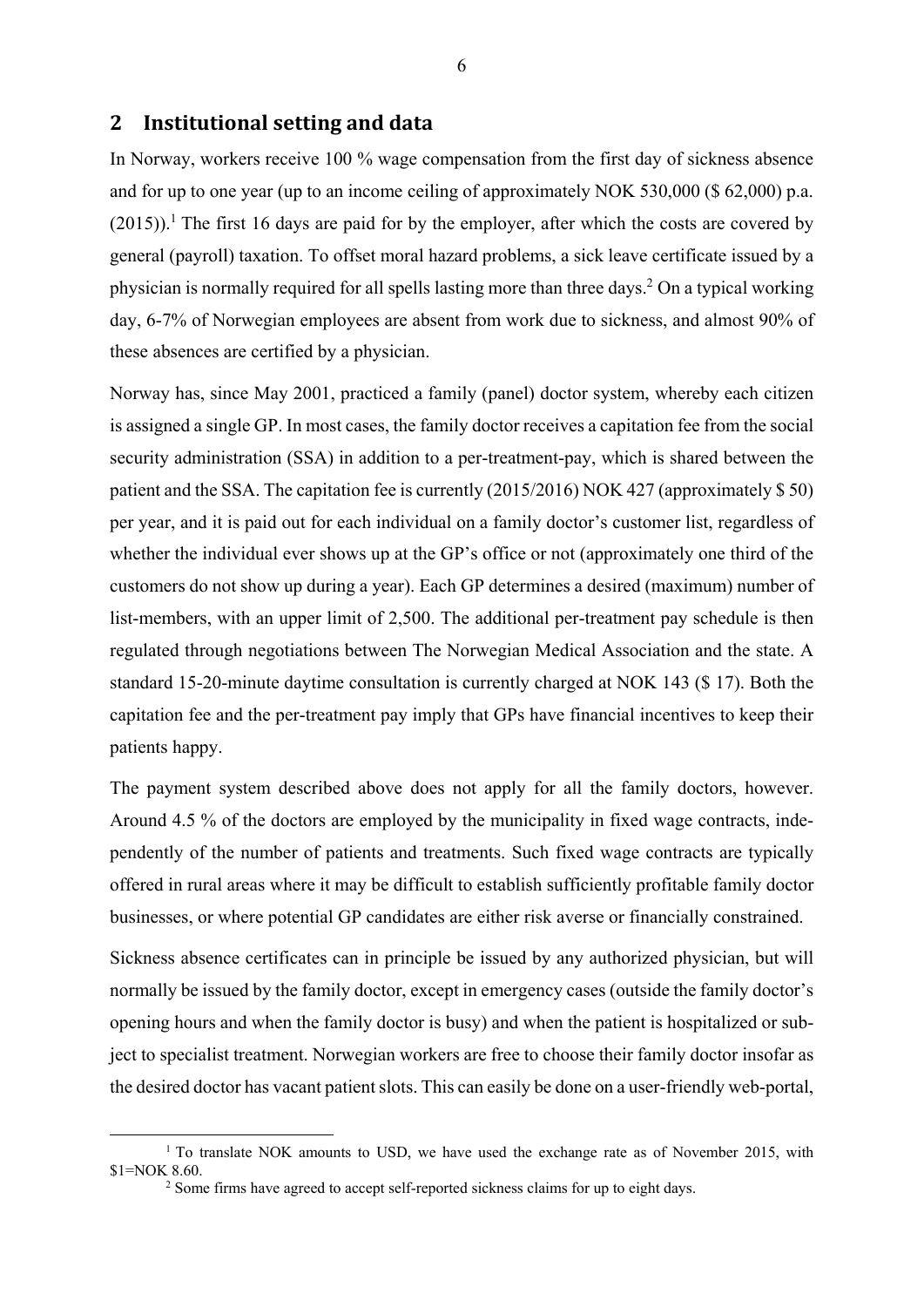#### **2 Institutional setting and data**

In Norway, workers receive 100 % wage compensation from the first day of sickness absence and for up to one year (up to an income ceiling of approximately NOK 530,000 (\$ 62,000) p.a.  $(2015)$ .<sup>1</sup> The first 16 days are paid for by the employer, after which the costs are covered by general (payroll) taxation. To offset moral hazard problems, a sick leave certificate issued by a physician is normally required for all spells lasting more than three days.<sup>2</sup> On a typical working day, 6-7% of Norwegian employees are absent from work due to sickness, and almost 90% of these absences are certified by a physician.

Norway has, since May 2001, practiced a family (panel) doctor system, whereby each citizen is assigned a single GP. In most cases, the family doctor receives a capitation fee from the social security administration (SSA) in addition to a per-treatment-pay, which is shared between the patient and the SSA. The capitation fee is currently (2015/2016) NOK 427 (approximately \$ 50) per year, and it is paid out for each individual on a family doctor's customer list, regardless of whether the individual ever shows up at the GP's office or not (approximately one third of the customers do not show up during a year). Each GP determines a desired (maximum) number of list-members, with an upper limit of 2,500. The additional per-treatment pay schedule is then regulated through negotiations between The Norwegian Medical Association and the state. A standard 15-20-minute daytime consultation is currently charged at NOK 143 (\$ 17). Both the capitation fee and the per-treatment pay imply that GPs have financial incentives to keep their patients happy.

The payment system described above does not apply for all the family doctors, however. Around 4.5 % of the doctors are employed by the municipality in fixed wage contracts, independently of the number of patients and treatments. Such fixed wage contracts are typically offered in rural areas where it may be difficult to establish sufficiently profitable family doctor businesses, or where potential GP candidates are either risk averse or financially constrained.

Sickness absence certificates can in principle be issued by any authorized physician, but will normally be issued by the family doctor, except in emergency cases (outside the family doctor's opening hours and when the family doctor is busy) and when the patient is hospitalized or subject to specialist treatment. Norwegian workers are free to choose their family doctor insofar as the desired doctor has vacant patient slots. This can easily be done on a user-friendly web-portal,

<sup>&</sup>lt;sup>1</sup> To translate NOK amounts to USD, we have used the exchange rate as of November 2015, with  $$1=NOK 8.60.$ 

<sup>&</sup>lt;sup>2</sup> Some firms have agreed to accept self-reported sickness claims for up to eight days.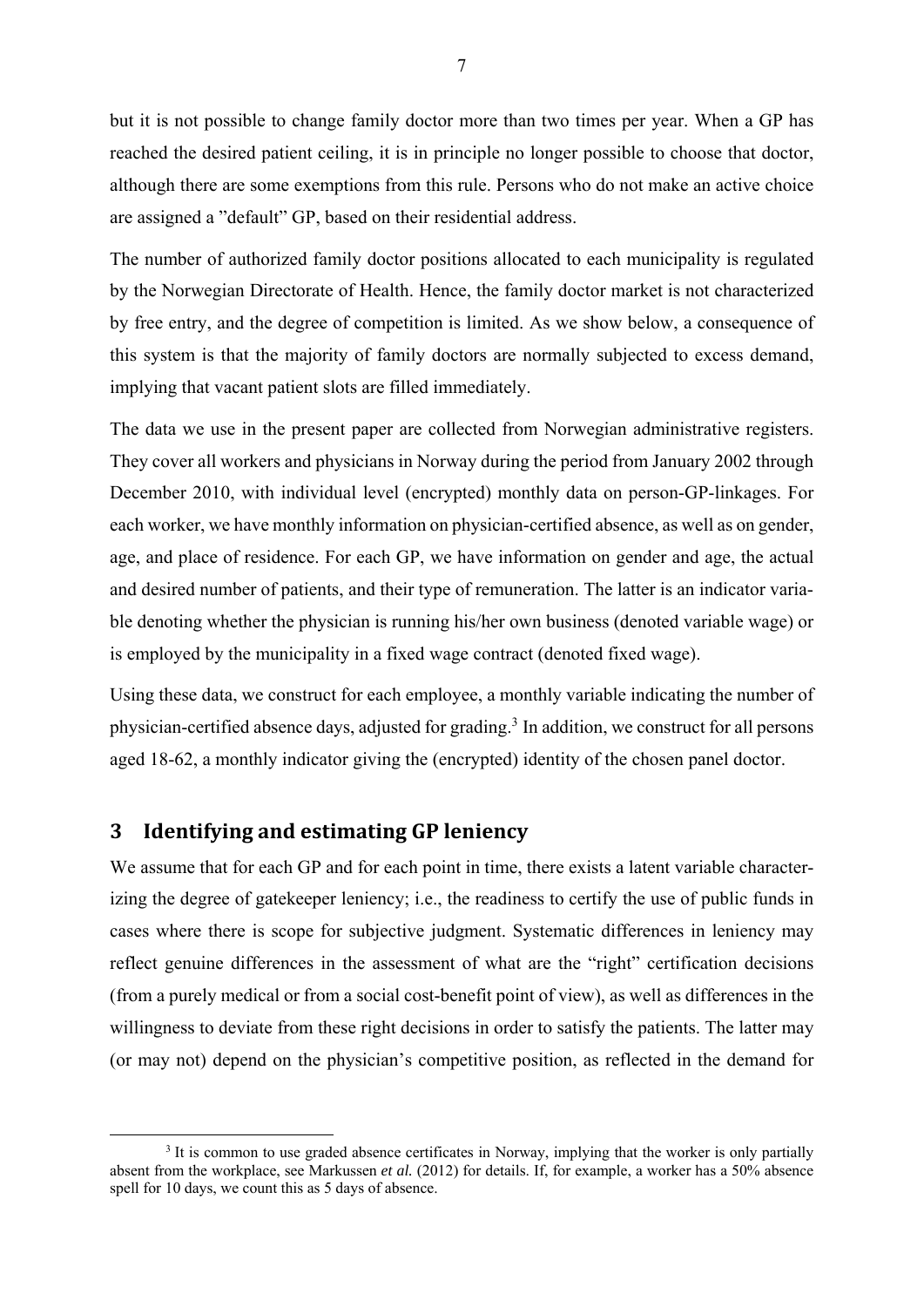but it is not possible to change family doctor more than two times per year. When a GP has reached the desired patient ceiling, it is in principle no longer possible to choose that doctor, although there are some exemptions from this rule. Persons who do not make an active choice are assigned a "default" GP, based on their residential address.

The number of authorized family doctor positions allocated to each municipality is regulated by the Norwegian Directorate of Health. Hence, the family doctor market is not characterized by free entry, and the degree of competition is limited. As we show below, a consequence of this system is that the majority of family doctors are normally subjected to excess demand, implying that vacant patient slots are filled immediately.

The data we use in the present paper are collected from Norwegian administrative registers. They cover all workers and physicians in Norway during the period from January 2002 through December 2010, with individual level (encrypted) monthly data on person-GP-linkages. For each worker, we have monthly information on physician-certified absence, as well as on gender, age, and place of residence. For each GP, we have information on gender and age, the actual and desired number of patients, and their type of remuneration. The latter is an indicator variable denoting whether the physician is running his/her own business (denoted variable wage) or is employed by the municipality in a fixed wage contract (denoted fixed wage).

Using these data, we construct for each employee, a monthly variable indicating the number of physician-certified absence days, adjusted for grading.<sup>3</sup> In addition, we construct for all persons aged 18-62, a monthly indicator giving the (encrypted) identity of the chosen panel doctor.

#### **3 Identifying and estimating GP leniency**

We assume that for each GP and for each point in time, there exists a latent variable characterizing the degree of gatekeeper leniency; i.e., the readiness to certify the use of public funds in cases where there is scope for subjective judgment. Systematic differences in leniency may reflect genuine differences in the assessment of what are the "right" certification decisions (from a purely medical or from a social cost-benefit point of view), as well as differences in the willingness to deviate from these right decisions in order to satisfy the patients. The latter may (or may not) depend on the physician's competitive position, as reflected in the demand for

 $\frac{1}{3}$ <sup>3</sup> It is common to use graded absence certificates in Norway, implying that the worker is only partially absent from the workplace, see Markussen *et al.* (2012) for details. If, for example, a worker has a 50% absence spell for 10 days, we count this as 5 days of absence.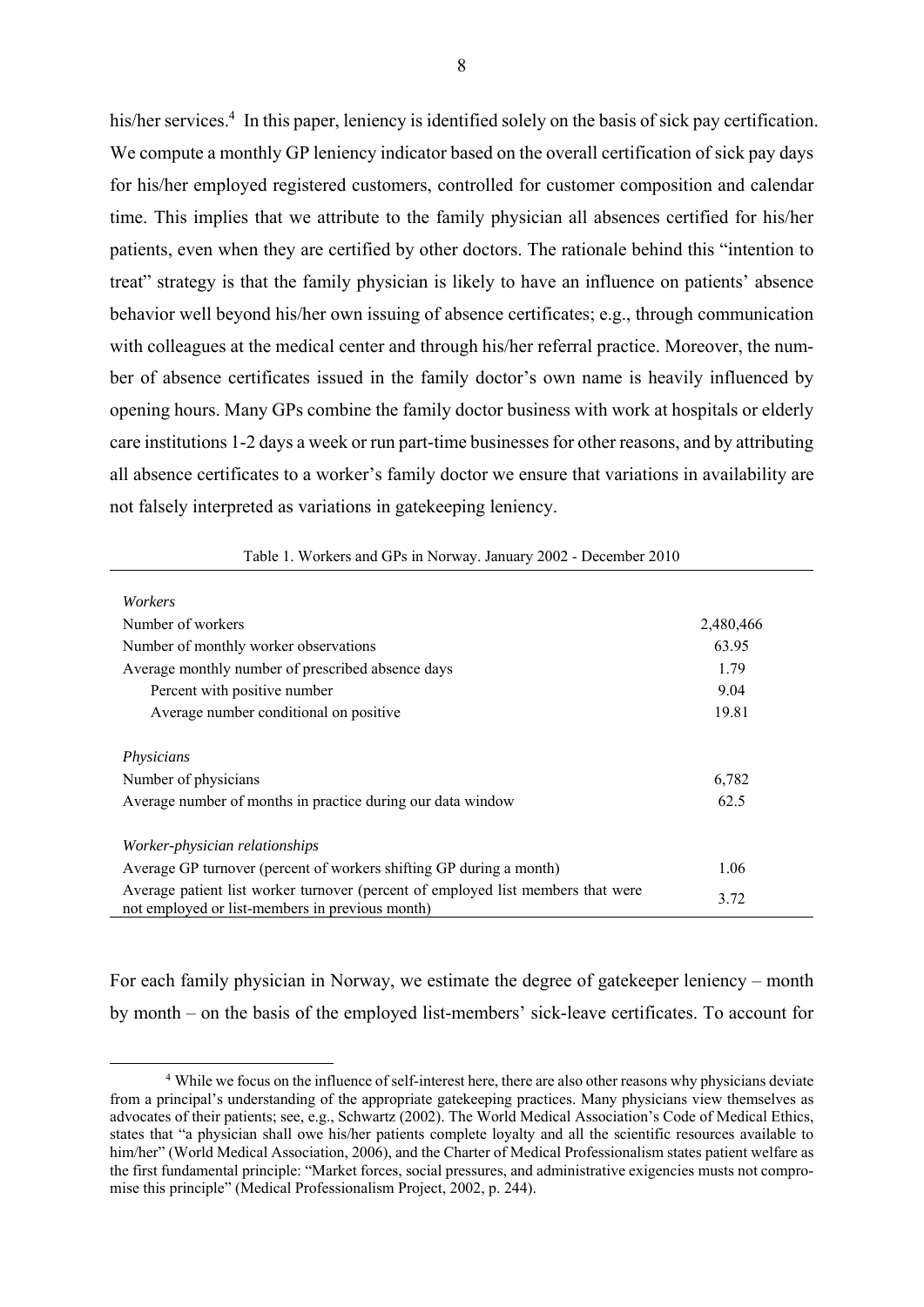his/her services.<sup>4</sup> In this paper, leniency is identified solely on the basis of sick pay certification. We compute a monthly GP leniency indicator based on the overall certification of sick pay days for his/her employed registered customers, controlled for customer composition and calendar time. This implies that we attribute to the family physician all absences certified for his/her patients, even when they are certified by other doctors. The rationale behind this "intention to treat" strategy is that the family physician is likely to have an influence on patients' absence behavior well beyond his/her own issuing of absence certificates; e.g., through communication with colleagues at the medical center and through his/her referral practice. Moreover, the number of absence certificates issued in the family doctor's own name is heavily influenced by opening hours. Many GPs combine the family doctor business with work at hospitals or elderly care institutions 1-2 days a week or run part-time businesses for other reasons, and by attributing all absence certificates to a worker's family doctor we ensure that variations in availability are not falsely interpreted as variations in gatekeeping leniency.

| Workers                                                                                                                             |           |
|-------------------------------------------------------------------------------------------------------------------------------------|-----------|
| Number of workers                                                                                                                   | 2,480,466 |
| Number of monthly worker observations                                                                                               | 63.95     |
| Average monthly number of prescribed absence days                                                                                   | 1.79      |
| Percent with positive number                                                                                                        | 9.04      |
| Average number conditional on positive                                                                                              | 19.81     |
| Physicians                                                                                                                          |           |
| Number of physicians                                                                                                                | 6,782     |
| Average number of months in practice during our data window                                                                         | 62.5      |
| Worker-physician relationships                                                                                                      |           |
| Average GP turnover (percent of workers shifting GP during a month)                                                                 | 1.06      |
| Average patient list worker turnover (percent of employed list members that were<br>not employed or list-members in previous month) | 3.72      |

Table 1. Workers and GPs in Norway. January 2002 - December 2010

For each family physician in Norway, we estimate the degree of gatekeeper leniency – month by month – on the basis of the employed list-members' sick-leave certificates. To account for

 $\frac{1}{4}$  While we focus on the influence of self-interest here, there are also other reasons why physicians deviate from a principal's understanding of the appropriate gatekeeping practices. Many physicians view themselves as advocates of their patients; see, e.g., Schwartz (2002). The World Medical Association's Code of Medical Ethics, states that "a physician shall owe his/her patients complete loyalty and all the scientific resources available to him/her" (World Medical Association, 2006), and the Charter of Medical Professionalism states patient welfare as the first fundamental principle: "Market forces, social pressures, and administrative exigencies musts not compromise this principle" (Medical Professionalism Project, 2002, p. 244).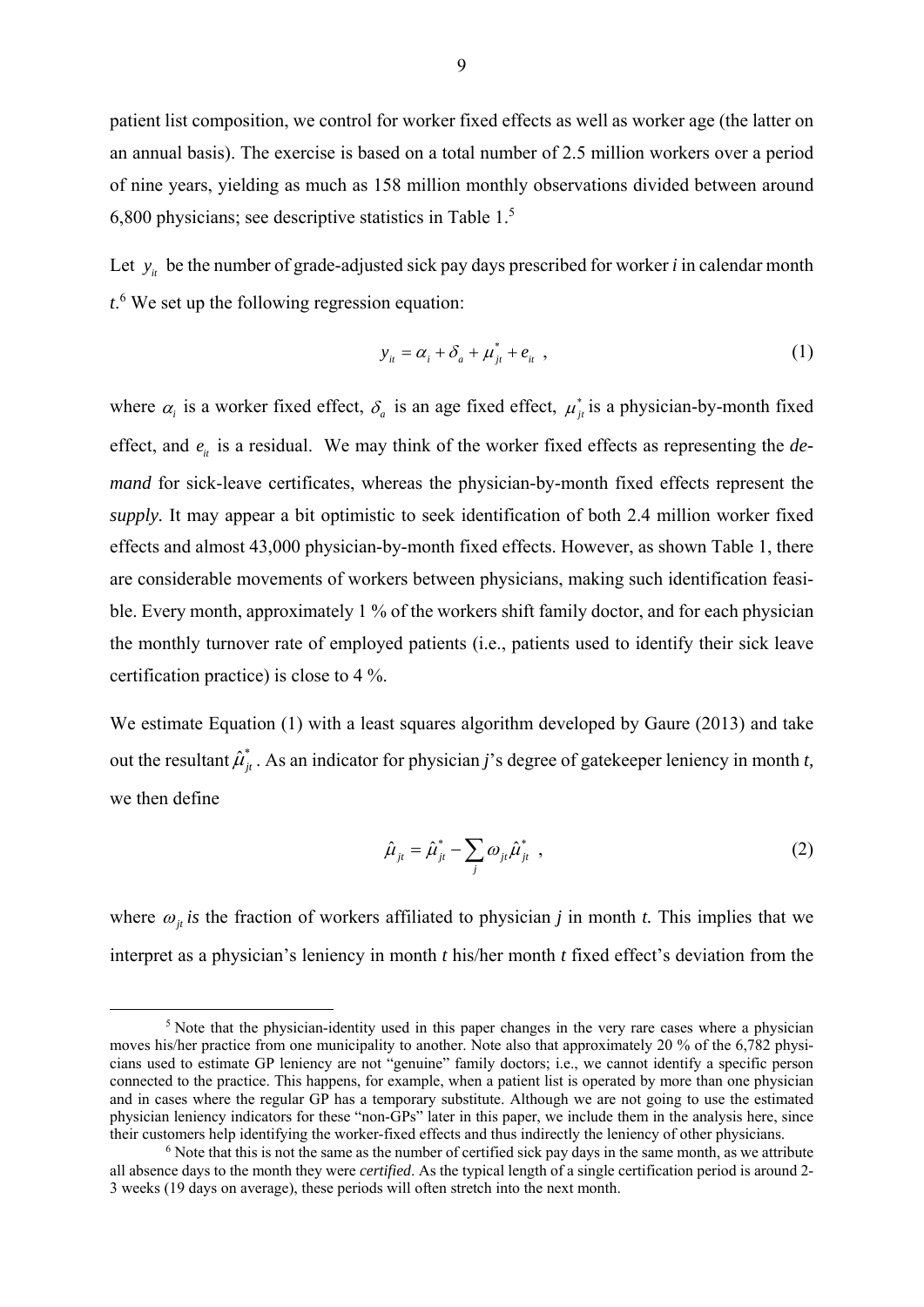patient list composition, we control for worker fixed effects as well as worker age (the latter on an annual basis). The exercise is based on a total number of 2.5 million workers over a period of nine years, yielding as much as 158 million monthly observations divided between around 6,800 physicians; see descriptive statistics in Table 1.5

Let  $y_i$  be the number of grade-adjusted sick pay days prescribed for worker *i* in calendar month *t*. 6 We set up the following regression equation:

$$
y_{ii} = \alpha_i + \delta_a + \mu_{ji}^* + e_{ii} \tag{1}
$$

where  $\alpha_i$  is a worker fixed effect,  $\delta_a$  is an age fixed effect,  $\mu_i^*$  is a physician-by-month fixed effect, and  $e_i$  is a residual. We may think of the worker fixed effects as representing the *demand* for sick-leave certificates, whereas the physician-by-month fixed effects represent the *supply.* It may appear a bit optimistic to seek identification of both 2.4 million worker fixed effects and almost 43,000 physician-by-month fixed effects. However, as shown Table 1, there are considerable movements of workers between physicians, making such identification feasible. Every month, approximately 1 % of the workers shift family doctor, and for each physician the monthly turnover rate of employed patients (i.e., patients used to identify their sick leave certification practice) is close to 4 %.

We estimate Equation (1) with a least squares algorithm developed by Gaure (2013) and take out the resultant  $\hat{\mu}_i^*$ . As an indicator for physician *j*'s degree of gatekeeper leniency in month *t*, we then define

$$
\hat{\mu}_{jt} = \hat{\mu}_{jt}^* - \sum_j \omega_{jt} \hat{\mu}_{jt}^*, \qquad (2)
$$

where  $\omega_{jt}$  *is* the fraction of workers affiliated to physician *j* in month *t*. This implies that we interpret as a physician's leniency in month *t* his/her month *t* fixed effect's deviation from the

 $rac{1}{\sqrt{1-\frac{1}{5}}}$ <sup>5</sup> Note that the physician-identity used in this paper changes in the very rare cases where a physician moves his/her practice from one municipality to another. Note also that approximately 20 % of the 6,782 physicians used to estimate GP leniency are not "genuine" family doctors; i.e., we cannot identify a specific person connected to the practice. This happens, for example, when a patient list is operated by more than one physician and in cases where the regular GP has a temporary substitute. Although we are not going to use the estimated physician leniency indicators for these "non-GPs" later in this paper, we include them in the analysis here, since their customers help identifying the worker-fixed effects and thus indirectly the leniency of other physicians. 6

<sup>&</sup>lt;sup>6</sup> Note that this is not the same as the number of certified sick pay days in the same month, as we attribute all absence days to the month they were *certified*. As the typical length of a single certification period is around 2- 3 weeks (19 days on average), these periods will often stretch into the next month.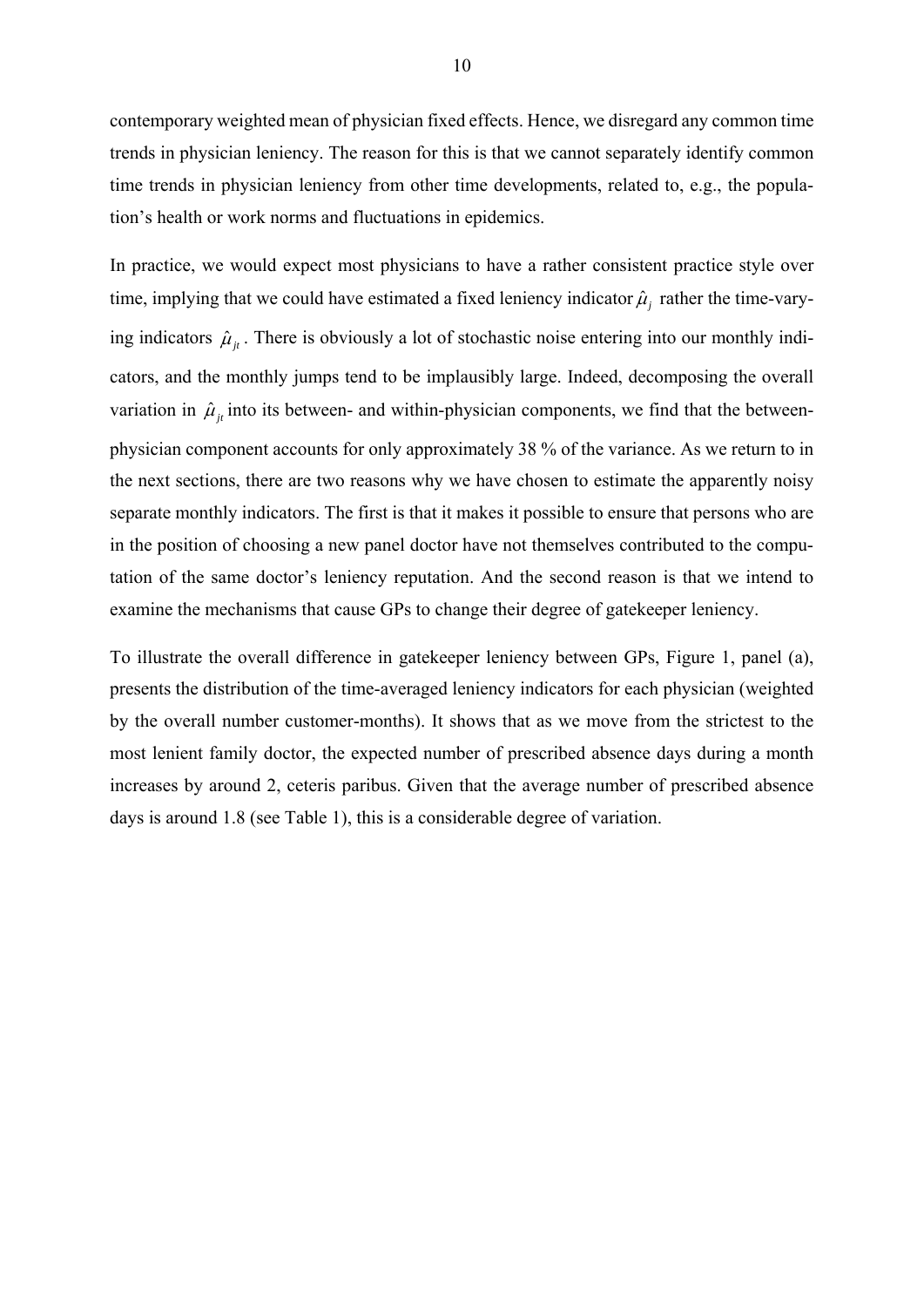contemporary weighted mean of physician fixed effects. Hence, we disregard any common time trends in physician leniency. The reason for this is that we cannot separately identify common time trends in physician leniency from other time developments, related to, e.g., the population's health or work norms and fluctuations in epidemics.

In practice, we would expect most physicians to have a rather consistent practice style over time, implying that we could have estimated a fixed leniency indicator  $\hat{\mu}_i$  rather the time-varying indicators  $\hat{\mu}_{it}$ . There is obviously a lot of stochastic noise entering into our monthly indicators, and the monthly jumps tend to be implausibly large. Indeed, decomposing the overall variation in  $\hat{\mu}_{i}$  into its between- and within-physician components, we find that the betweenphysician component accounts for only approximately 38 % of the variance. As we return to in the next sections, there are two reasons why we have chosen to estimate the apparently noisy separate monthly indicators. The first is that it makes it possible to ensure that persons who are in the position of choosing a new panel doctor have not themselves contributed to the computation of the same doctor's leniency reputation. And the second reason is that we intend to examine the mechanisms that cause GPs to change their degree of gatekeeper leniency.

To illustrate the overall difference in gatekeeper leniency between GPs, Figure 1, panel (a), presents the distribution of the time-averaged leniency indicators for each physician (weighted by the overall number customer-months). It shows that as we move from the strictest to the most lenient family doctor, the expected number of prescribed absence days during a month increases by around 2, ceteris paribus. Given that the average number of prescribed absence days is around 1.8 (see Table 1), this is a considerable degree of variation.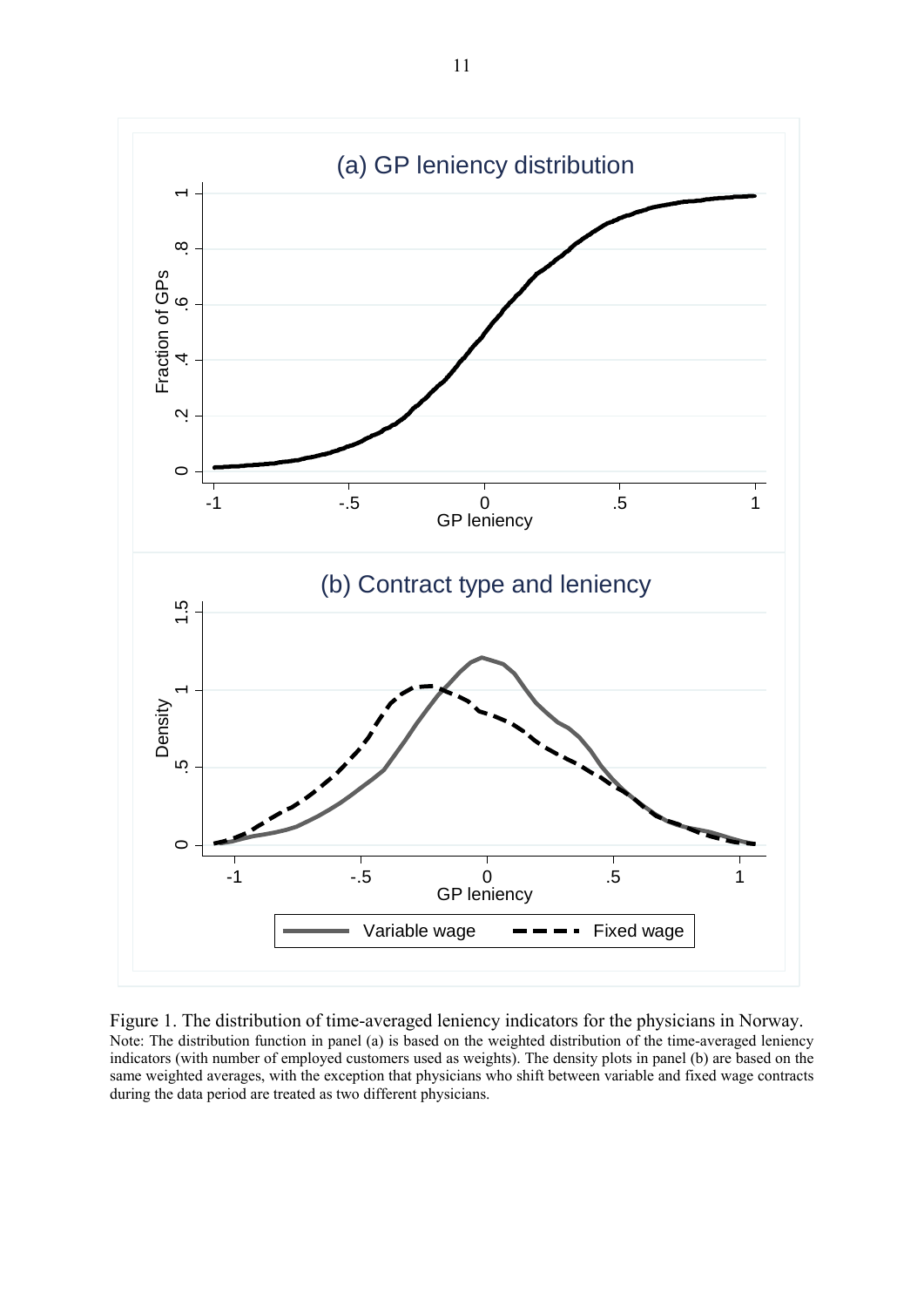

Figure 1. The distribution of time-averaged leniency indicators for the physicians in Norway. Note: The distribution function in panel (a) is based on the weighted distribution of the time-averaged leniency indicators (with number of employed customers used as weights). The density plots in panel (b) are based on the same weighted averages, with the exception that physicians who shift between variable and fixed wage contracts during the data period are treated as two different physicians.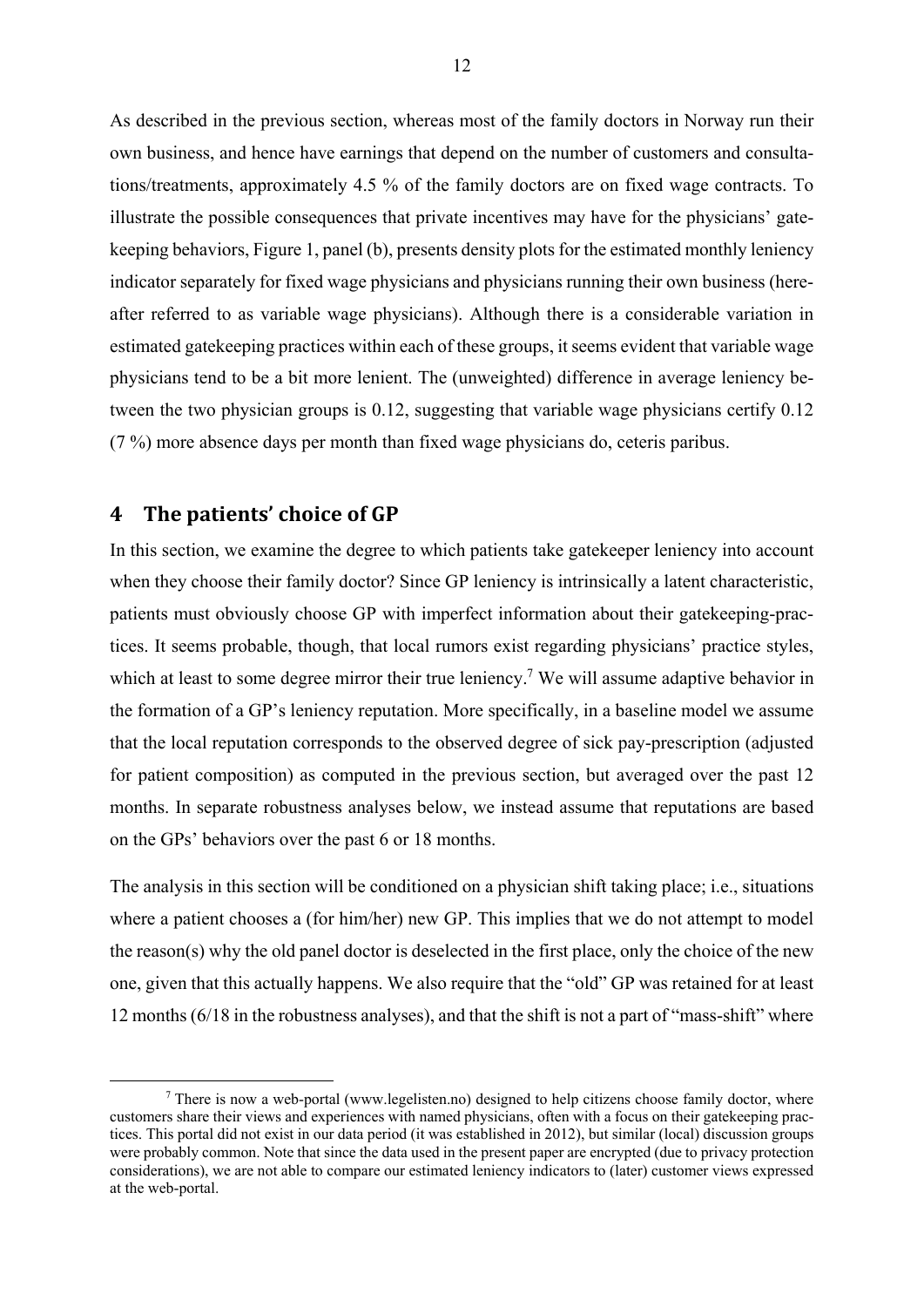As described in the previous section, whereas most of the family doctors in Norway run their own business, and hence have earnings that depend on the number of customers and consultations/treatments, approximately 4.5 % of the family doctors are on fixed wage contracts. To illustrate the possible consequences that private incentives may have for the physicians' gatekeeping behaviors, Figure 1, panel (b), presents density plots for the estimated monthly leniency indicator separately for fixed wage physicians and physicians running their own business (hereafter referred to as variable wage physicians). Although there is a considerable variation in estimated gatekeeping practices within each of these groups, it seems evident that variable wage physicians tend to be a bit more lenient. The (unweighted) difference in average leniency between the two physician groups is 0.12, suggesting that variable wage physicians certify 0.12 (7 %) more absence days per month than fixed wage physicians do, ceteris paribus.

#### **4 The patients' choice of GP**

In this section, we examine the degree to which patients take gatekeeper leniency into account when they choose their family doctor? Since GP leniency is intrinsically a latent characteristic, patients must obviously choose GP with imperfect information about their gatekeeping-practices. It seems probable, though, that local rumors exist regarding physicians' practice styles, which at least to some degree mirror their true leniency.<sup>7</sup> We will assume adaptive behavior in the formation of a GP's leniency reputation. More specifically, in a baseline model we assume that the local reputation corresponds to the observed degree of sick pay-prescription (adjusted for patient composition) as computed in the previous section, but averaged over the past 12 months. In separate robustness analyses below, we instead assume that reputations are based on the GPs' behaviors over the past 6 or 18 months.

The analysis in this section will be conditioned on a physician shift taking place; i.e., situations where a patient chooses a (for him/her) new GP. This implies that we do not attempt to model the reason(s) why the old panel doctor is deselected in the first place, only the choice of the new one, given that this actually happens. We also require that the "old" GP was retained for at least 12 months (6/18 in the robustness analyses), and that the shift is not a part of "mass-shift" where

 $\begin{array}{c|c}\n\hline\n\end{array}$  $\frac{7}{1}$  There is now a web-portal (www.legelisten.no) designed to help citizens choose family doctor, where customers share their views and experiences with named physicians, often with a focus on their gatekeeping practices. This portal did not exist in our data period (it was established in 2012), but similar (local) discussion groups were probably common. Note that since the data used in the present paper are encrypted (due to privacy protection considerations), we are not able to compare our estimated leniency indicators to (later) customer views expressed at the web-portal.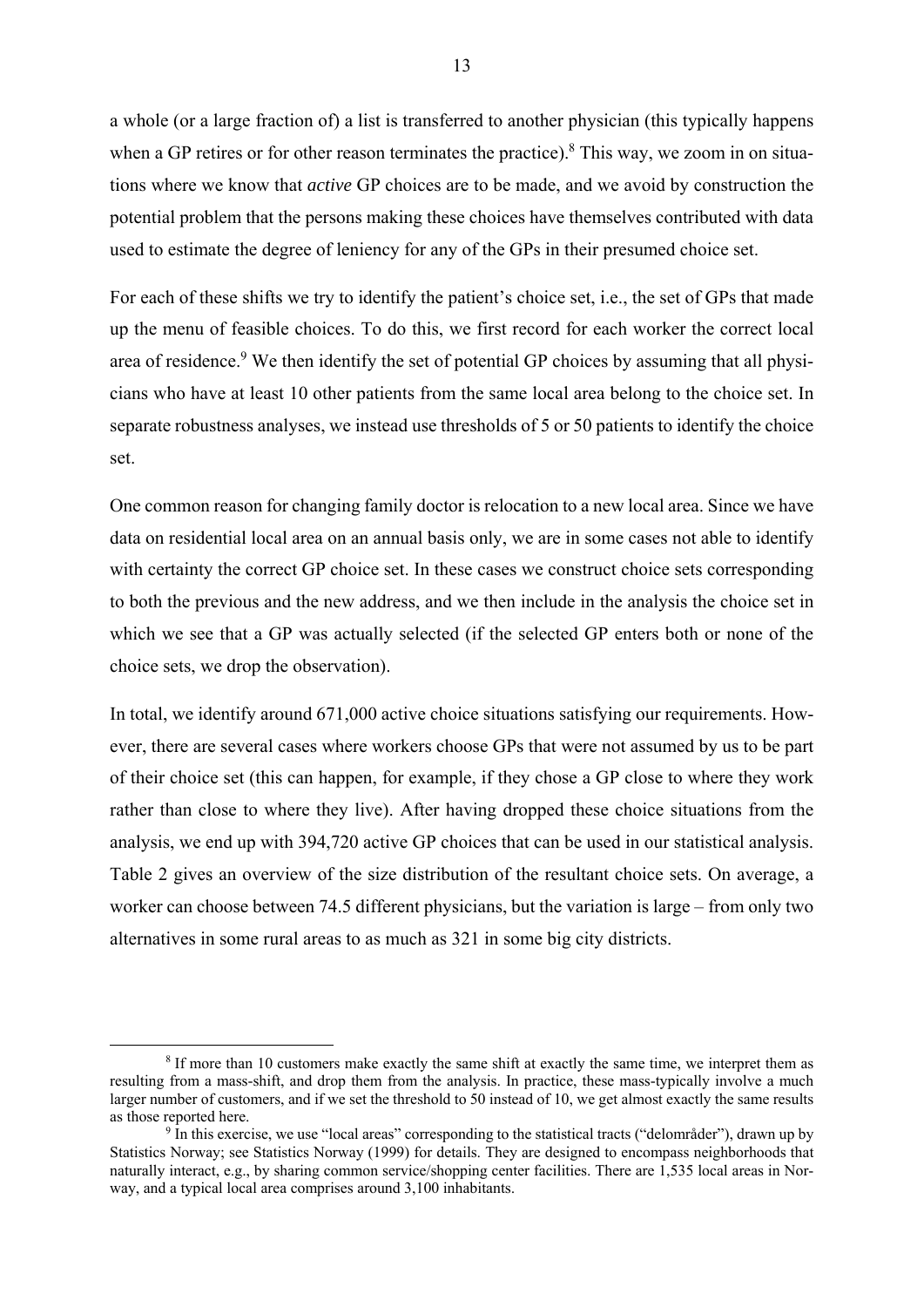a whole (or a large fraction of) a list is transferred to another physician (this typically happens when a GP retires or for other reason terminates the practice).<sup>8</sup> This way, we zoom in on situations where we know that *active* GP choices are to be made, and we avoid by construction the potential problem that the persons making these choices have themselves contributed with data used to estimate the degree of leniency for any of the GPs in their presumed choice set.

For each of these shifts we try to identify the patient's choice set, i.e., the set of GPs that made up the menu of feasible choices. To do this, we first record for each worker the correct local area of residence.<sup>9</sup> We then identify the set of potential GP choices by assuming that all physicians who have at least 10 other patients from the same local area belong to the choice set. In separate robustness analyses, we instead use thresholds of 5 or 50 patients to identify the choice set.

One common reason for changing family doctor is relocation to a new local area. Since we have data on residential local area on an annual basis only, we are in some cases not able to identify with certainty the correct GP choice set. In these cases we construct choice sets corresponding to both the previous and the new address, and we then include in the analysis the choice set in which we see that a GP was actually selected (if the selected GP enters both or none of the choice sets, we drop the observation).

In total, we identify around 671,000 active choice situations satisfying our requirements. However, there are several cases where workers choose GPs that were not assumed by us to be part of their choice set (this can happen, for example, if they chose a GP close to where they work rather than close to where they live). After having dropped these choice situations from the analysis, we end up with 394,720 active GP choices that can be used in our statistical analysis. Table 2 gives an overview of the size distribution of the resultant choice sets. On average, a worker can choose between 74.5 different physicians, but the variation is large – from only two alternatives in some rural areas to as much as 321 in some big city districts.

 $\begin{array}{c|c}\n\hline\n\end{array}$ <sup>8</sup> If more than 10 customers make exactly the same shift at exactly the same time, we interpret them as resulting from a mass-shift, and drop them from the analysis. In practice, these mass-typically involve a much larger number of customers, and if we set the threshold to 50 instead of 10, we get almost exactly the same results as those reported here.

 $\frac{9}{9}$  In this exercise, we use "local areas" corresponding to the statistical tracts ("delområder"), drawn up by Statistics Norway; see Statistics Norway (1999) for details. They are designed to encompass neighborhoods that naturally interact, e.g., by sharing common service/shopping center facilities. There are 1,535 local areas in Norway, and a typical local area comprises around 3,100 inhabitants.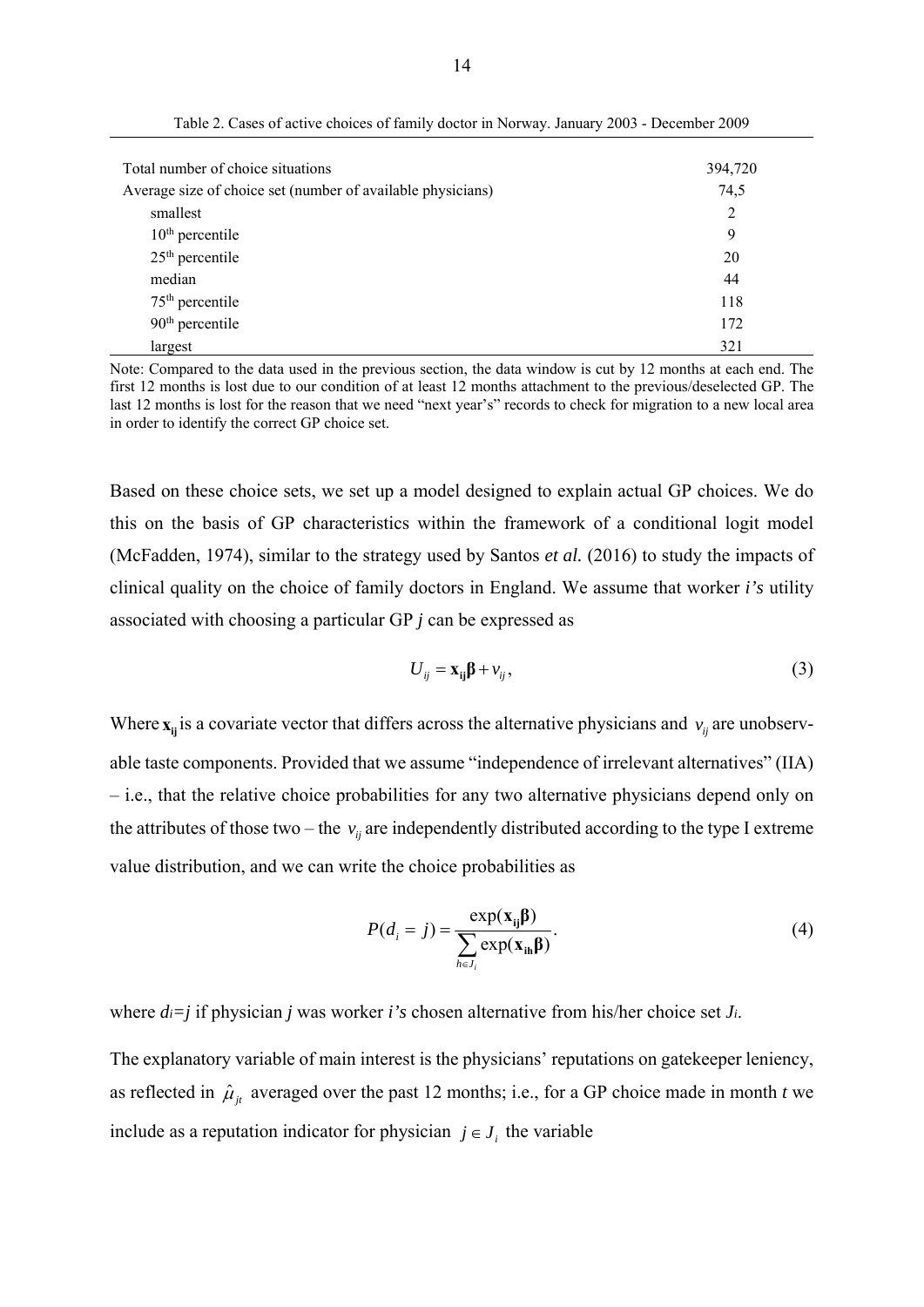| Total number of choice situations                           | 394,720 |  |  |
|-------------------------------------------------------------|---------|--|--|
| Average size of choice set (number of available physicians) | 74,5    |  |  |
| smallest                                                    | 2       |  |  |
| $10th$ percentile                                           | 9       |  |  |
| $25th$ percentile                                           | 20      |  |  |
| median                                                      | 44      |  |  |
| $75th$ percentile                                           | 118     |  |  |
| $90th$ percentile                                           | 172     |  |  |
| largest                                                     | 321     |  |  |

Table 2. Cases of active choices of family doctor in Norway. January 2003 - December 2009

Note: Compared to the data used in the previous section, the data window is cut by 12 months at each end. The first 12 months is lost due to our condition of at least 12 months attachment to the previous/deselected GP. The last 12 months is lost for the reason that we need "next year's" records to check for migration to a new local area in order to identify the correct GP choice set.

Based on these choice sets, we set up a model designed to explain actual GP choices. We do this on the basis of GP characteristics within the framework of a conditional logit model (McFadden, 1974), similar to the strategy used by Santos *et al.* (2016) to study the impacts of clinical quality on the choice of family doctors in England. We assume that worker *i's* utility associated with choosing a particular GP *j* can be expressed as

$$
U_{ij} = \mathbf{x}_{ij}\mathbf{\beta} + v_{ij},\tag{3}
$$

Where  $\mathbf{x}_i$  is a covariate vector that differs across the alternative physicians and  $v_i$  are unobservable taste components. Provided that we assume "independence of irrelevant alternatives" (IIA) – i.e., that the relative choice probabilities for any two alternative physicians depend only on the attributes of those two – the  $v_{ij}$  are independently distributed according to the type I extreme value distribution, and we can write the choice probabilities as

$$
P(d_i = j) = \frac{\exp(\mathbf{x}_{ij}\boldsymbol{\beta})}{\sum_{h \in J_i} \exp(\mathbf{x}_{ih}\boldsymbol{\beta})}.
$$
 (4)

where *di=j* if physician *j* was worker *i's* chosen alternative from his/her choice set *Ji*.

The explanatory variable of main interest is the physicians' reputations on gatekeeper leniency, as reflected in  $\hat{\mu}_{it}$  averaged over the past 12 months; i.e., for a GP choice made in month *t* we include as a reputation indicator for physician  $j \in J_i$  the variable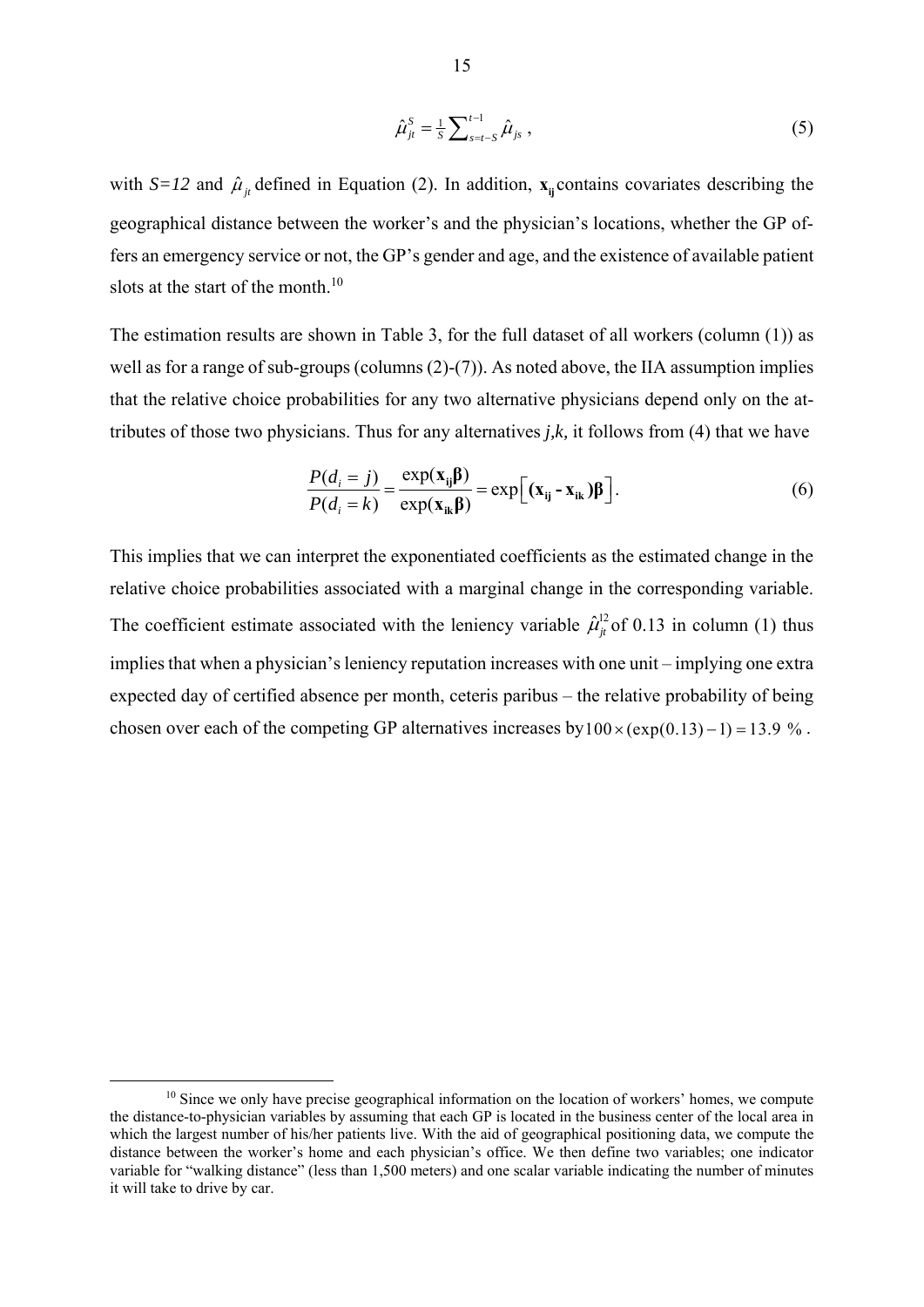$$
\hat{\mu}_{jt}^{S} = \frac{1}{S} \sum_{s=t-S}^{t-1} \hat{\mu}_{js} , \qquad (5)
$$

with *S*=12 and  $\hat{\mu}_i$  defined in Equation (2). In addition,  $\mathbf{x}_{ii}$  contains covariates describing the geographical distance between the worker's and the physician's locations, whether the GP offers an emergency service or not, the GP's gender and age, and the existence of available patient slots at the start of the month.<sup>10</sup>

The estimation results are shown in Table 3, for the full dataset of all workers (column (1)) as well as for a range of sub-groups (columns (2)-(7)). As noted above, the IIA assumption implies that the relative choice probabilities for any two alternative physicians depend only on the attributes of those two physicians. Thus for any alternatives *j,k,* it follows from (4) that we have

$$
\frac{P(d_i = j)}{P(d_i = k)} = \frac{\exp(\mathbf{x}_{ij}\boldsymbol{\beta})}{\exp(\mathbf{x}_{ik}\boldsymbol{\beta})} = \exp[(\mathbf{x}_{ij} - \mathbf{x}_{ik})\boldsymbol{\beta}].
$$
 (6)

This implies that we can interpret the exponentiated coefficients as the estimated change in the relative choice probabilities associated with a marginal change in the corresponding variable. The coefficient estimate associated with the leniency variable  $\hat{\mu}^2_{j}$  of 0.13 in column (1) thus implies that when a physician's leniency reputation increases with one unit – implying one extra expected day of certified absence per month, ceteris paribus – the relative probability of being chosen over each of the competing GP alternatives increases by  $100 \times (exp(0.13) - 1) = 13.9 \%$ .

<sup>&</sup>lt;sup>10</sup> Since we only have precise geographical information on the location of workers' homes, we compute the distance-to-physician variables by assuming that each GP is located in the business center of the local area in which the largest number of his/her patients live. With the aid of geographical positioning data, we compute the distance between the worker's home and each physician's office. We then define two variables; one indicator variable for "walking distance" (less than 1,500 meters) and one scalar variable indicating the number of minutes it will take to drive by car.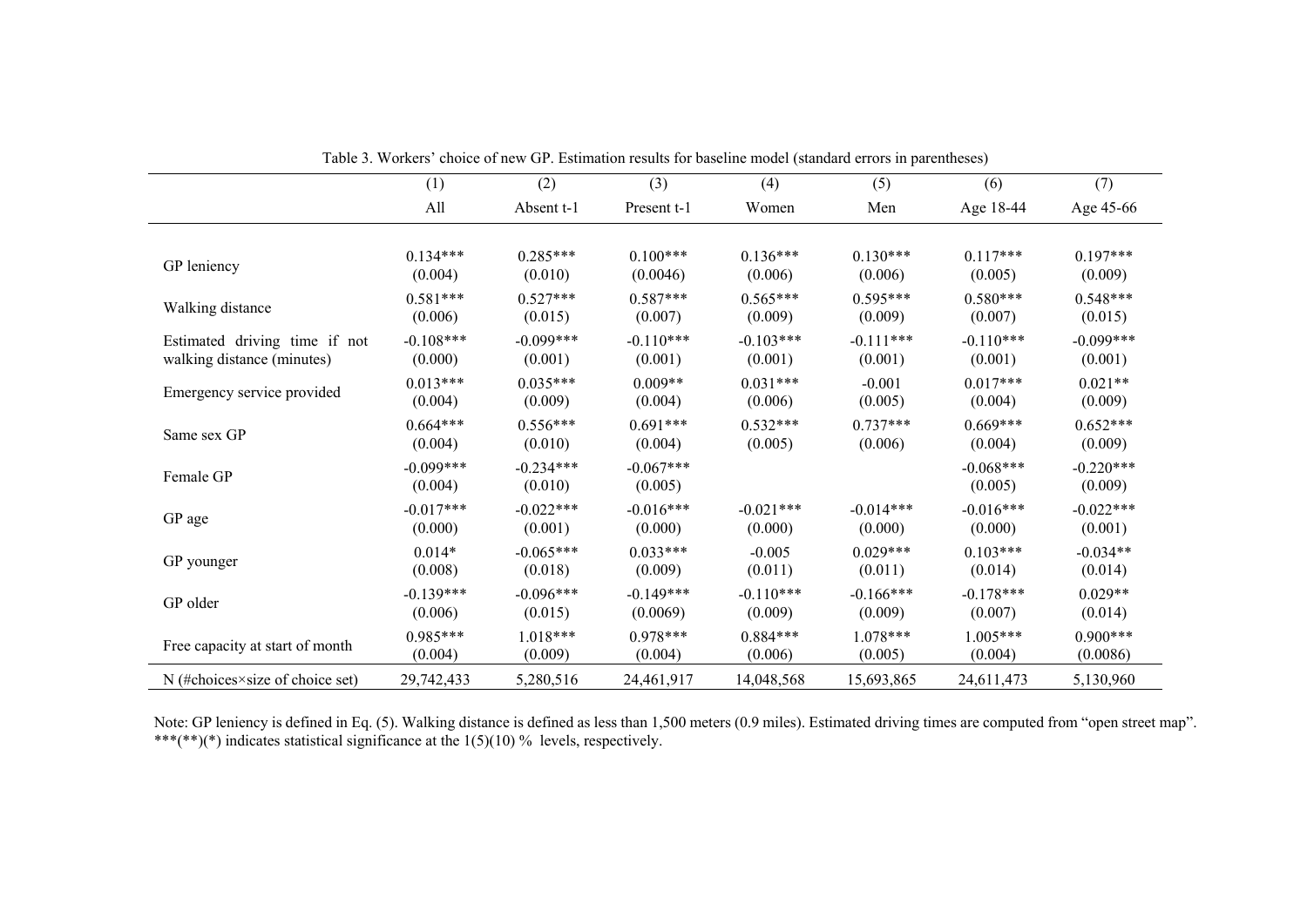|                                   | (1)                    | (2)                    | (3)                    | (4)         | (5)         | (6)                    | (7)                    |
|-----------------------------------|------------------------|------------------------|------------------------|-------------|-------------|------------------------|------------------------|
|                                   | All                    | Absent t-1             | Present t-1            | Women       | Men         | Age 18-44              | Age 45-66              |
| GP leniency                       | $0.134***$             | $0.285***$             | $0.100***$             | $0.136***$  | $0.130***$  | $0.117***$             | $0.197***$             |
|                                   | (0.004)                | (0.010)                | (0.0046)               | (0.006)     | (0.006)     | (0.005)                | (0.009)                |
| Walking distance                  | $0.581***$             | $0.527***$             | $0.587***$             | $0.565***$  | $0.595***$  | $0.580***$             | $0.548***$             |
|                                   | (0.006)                | (0.015)                | (0.007)                | (0.009)     | (0.009)     | (0.007)                | (0.015)                |
| Estimated driving time if not     | $-0.108***$            | $-0.099***$            | $-0.110***$            | $-0.103***$ | $-0.111***$ | $-0.110***$            | $-0.099***$            |
| walking distance (minutes)        | (0.000)                | (0.001)                | (0.001)                | (0.001)     | (0.001)     | (0.001)                | (0.001)                |
| Emergency service provided        | $0.013***$             | $0.035***$             | $0.009**$              | $0.031***$  | $-0.001$    | $0.017***$             | $0.021**$              |
|                                   | (0.004)                | (0.009)                | (0.004)                | (0.006)     | (0.005)     | (0.004)                | (0.009)                |
| Same sex GP                       | $0.664***$             | $0.556***$             | $0.691***$             | $0.532***$  | $0.737***$  | $0.669***$             | $0.652***$             |
|                                   | (0.004)                | (0.010)                | (0.004)                | (0.005)     | (0.006)     | (0.004)                | (0.009)                |
| Female GP                         | $-0.099***$<br>(0.004) | $-0.234***$<br>(0.010) | $-0.067***$<br>(0.005) |             |             | $-0.068***$<br>(0.005) | $-0.220***$<br>(0.009) |
| GP age                            | $-0.017***$            | $-0.022***$            | $-0.016***$            | $-0.021***$ | $-0.014***$ | $-0.016***$            | $-0.022***$            |
|                                   | (0.000)                | (0.001)                | (0.000)                | (0.000)     | (0.000)     | (0.000)                | (0.001)                |
| GP younger                        | $0.014*$               | $-0.065***$            | $0.033***$             | $-0.005$    | $0.029***$  | $0.103***$             | $-0.034**$             |
|                                   | (0.008)                | (0.018)                | (0.009)                | (0.011)     | (0.011)     | (0.014)                | (0.014)                |
| GP older                          | $-0.139***$            | $-0.096***$            | $-0.149***$            | $-0.110***$ | $-0.166***$ | $-0.178***$            | $0.029**$              |
|                                   | (0.006)                | (0.015)                | (0.0069)               | (0.009)     | (0.009)     | (0.007)                | (0.014)                |
| Free capacity at start of month   | $0.985***$             | $1.018***$             | $0.978***$             | $0.884***$  | $1.078***$  | $1.005***$             | $0.900***$             |
|                                   | (0.004)                | (0.009)                | (0.004)                | (0.006)     | (0.005)     | (0.004)                | (0.0086)               |
| $N$ (#choices×size of choice set) | 29,742,433             | 5.280.516              | 24,461,917             | 14,048,568  | 15,693,865  | 24,611,473             | 5,130,960              |

Table 3. Workers' choice of new GP. Estimation results for baseline model (standard errors in parentheses)

Note: GP leniency is defined in Eq. (5). Walking distance is defined as less than 1,500 meters (0.9 miles). Estimated driving times are computed from "open street map". \*\*\*(\*\*)(\*) indicates statistical significance at the  $1(5)(10)$ % levels, respectively.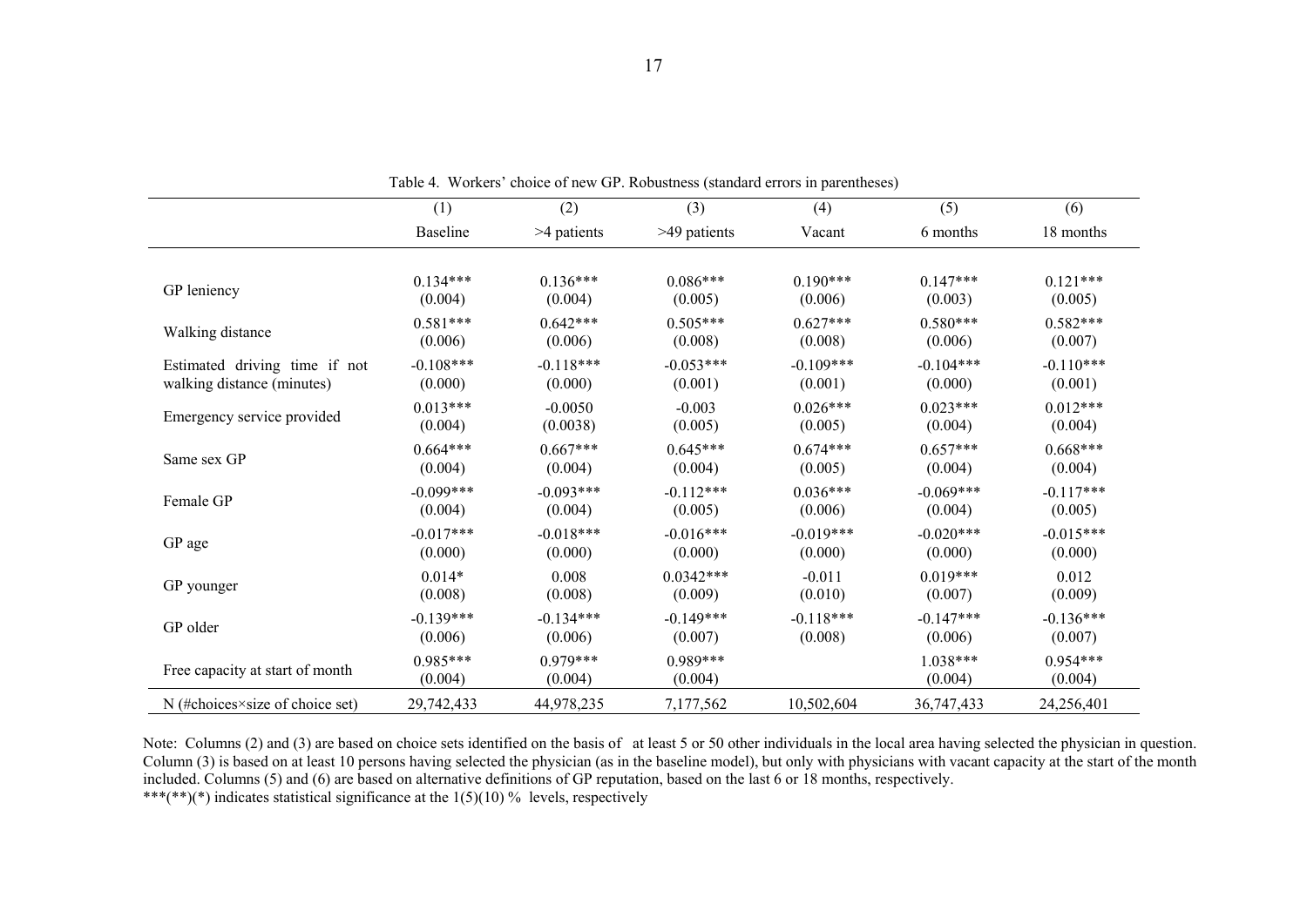|                                 | (1)                   | (2)<br>(3)            |                       | (4)         | (5)                   | (6)                   |  |
|---------------------------------|-----------------------|-----------------------|-----------------------|-------------|-----------------------|-----------------------|--|
|                                 | Baseline              | >4 patients           | >49 patients          | Vacant      | 6 months              | 18 months             |  |
| GP leniency                     | $0.134***$            | $0.136***$            | $0.086***$            | $0.190***$  | $0.147***$            | $0.121***$            |  |
|                                 | (0.004)               | (0.004)               | (0.005)               | (0.006)     | (0.003)               | (0.005)               |  |
| Walking distance                | $0.581***$            | $0.642***$            | $0.505***$            | $0.627***$  | $0.580***$            | $0.582***$            |  |
|                                 | (0.006)               | (0.006)               | (0.008)               | (0.008)     | (0.006)               | (0.007)               |  |
| Estimated driving time if not   | $-0.108***$           | $-0.118***$           | $-0.053***$           | $-0.109***$ | $-0.104***$           | $-0.110***$           |  |
| walking distance (minutes)      | (0.000)               | (0.000)               | (0.001)               | (0.001)     | (0.000)               | (0.001)               |  |
| Emergency service provided      | $0.013***$            | $-0.0050$             | $-0.003$              | $0.026***$  | $0.023***$            | $0.012***$            |  |
|                                 | (0.004)               | (0.0038)              | (0.005)               | (0.005)     | (0.004)               | (0.004)               |  |
| Same sex GP                     | $0.664***$            | $0.667***$            | $0.645***$            | $0.674***$  | $0.657***$            | $0.668***$            |  |
|                                 | (0.004)               | (0.004)               | (0.004)               | (0.005)     | (0.004)               | (0.004)               |  |
| Female GP                       | $-0.099***$           | $-0.093***$           | $-0.112***$           | $0.036***$  | $-0.069***$           | $-0.117***$           |  |
|                                 | (0.004)               | (0.004)               | (0.005)               | (0.006)     | (0.004)               | (0.005)               |  |
| GP age                          | $-0.017***$           | $-0.018***$           | $-0.016***$           | $-0.019***$ | $-0.020***$           | $-0.015***$           |  |
|                                 | (0.000)               | (0.000)               | (0.000)               | (0.000)     | (0.000)               | (0.000)               |  |
| GP younger                      | $0.014*$              | 0.008                 | $0.0342***$           | $-0.011$    | $0.019***$            | 0.012                 |  |
|                                 | (0.008)               | (0.008)               | (0.009)               | (0.010)     | (0.007)               | (0.009)               |  |
| GP older                        | $-0.139***$           | $-0.134***$           | $-0.149***$           | $-0.118***$ | $-0.147***$           | $-0.136***$           |  |
|                                 | (0.006)               | (0.006)               | (0.007)               | (0.008)     | (0.006)               | (0.007)               |  |
| Free capacity at start of month | $0.985***$<br>(0.004) | $0.979***$<br>(0.004) | $0.989***$<br>(0.004) |             | $1.038***$<br>(0.004) | $0.954***$<br>(0.004) |  |
| N (#choices×size of choice set) | 29,742,433            | 44,978,235            | 7,177,562             | 10,502,604  | 36,747,433            | 24,256,401            |  |

Table 4. Workers' choice of new GP. Robustness (standard errors in parentheses)

Note: Columns (2) and (3) are based on choice sets identified on the basis of at least 5 or 50 other individuals in the local area having selected the physician in question. Column (3) is based on at least 10 persons having selected the physician (as in the baseline model), but only with physicians with vacant capacity at the start of the month included. Columns (5) and (6) are based on alternative definitions of GP reputation, based on the last 6 or 18 months, respectively.

\*\*\*(\*\*)(\*) indicates statistical significance at the  $1(5)(10)$ % levels, respectively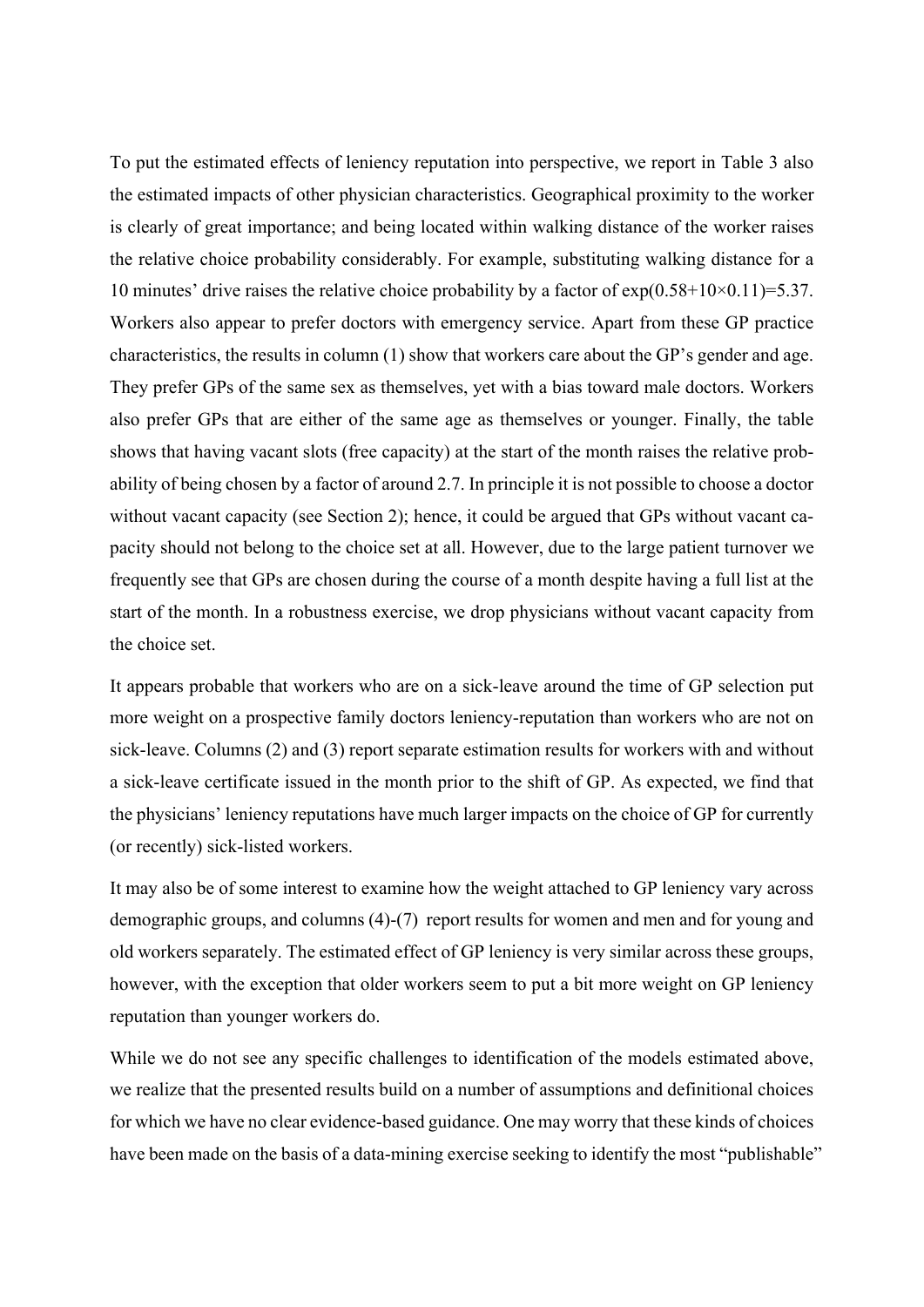To put the estimated effects of leniency reputation into perspective, we report in Table 3 also the estimated impacts of other physician characteristics. Geographical proximity to the worker is clearly of great importance; and being located within walking distance of the worker raises the relative choice probability considerably. For example, substituting walking distance for a 10 minutes' drive raises the relative choice probability by a factor of  $exp(0.58+10\times0.11)=5.37$ . Workers also appear to prefer doctors with emergency service. Apart from these GP practice characteristics, the results in column (1) show that workers care about the GP's gender and age. They prefer GPs of the same sex as themselves, yet with a bias toward male doctors. Workers also prefer GPs that are either of the same age as themselves or younger. Finally, the table shows that having vacant slots (free capacity) at the start of the month raises the relative probability of being chosen by a factor of around 2.7. In principle it is not possible to choose a doctor without vacant capacity (see Section 2); hence, it could be argued that GPs without vacant capacity should not belong to the choice set at all. However, due to the large patient turnover we frequently see that GPs are chosen during the course of a month despite having a full list at the start of the month. In a robustness exercise, we drop physicians without vacant capacity from the choice set.

It appears probable that workers who are on a sick-leave around the time of GP selection put more weight on a prospective family doctors leniency-reputation than workers who are not on sick-leave. Columns (2) and (3) report separate estimation results for workers with and without a sick-leave certificate issued in the month prior to the shift of GP. As expected, we find that the physicians' leniency reputations have much larger impacts on the choice of GP for currently (or recently) sick-listed workers.

It may also be of some interest to examine how the weight attached to GP leniency vary across demographic groups, and columns (4)-(7) report results for women and men and for young and old workers separately. The estimated effect of GP leniency is very similar across these groups, however, with the exception that older workers seem to put a bit more weight on GP leniency reputation than younger workers do.

While we do not see any specific challenges to identification of the models estimated above, we realize that the presented results build on a number of assumptions and definitional choices for which we have no clear evidence-based guidance. One may worry that these kinds of choices have been made on the basis of a data-mining exercise seeking to identify the most "publishable"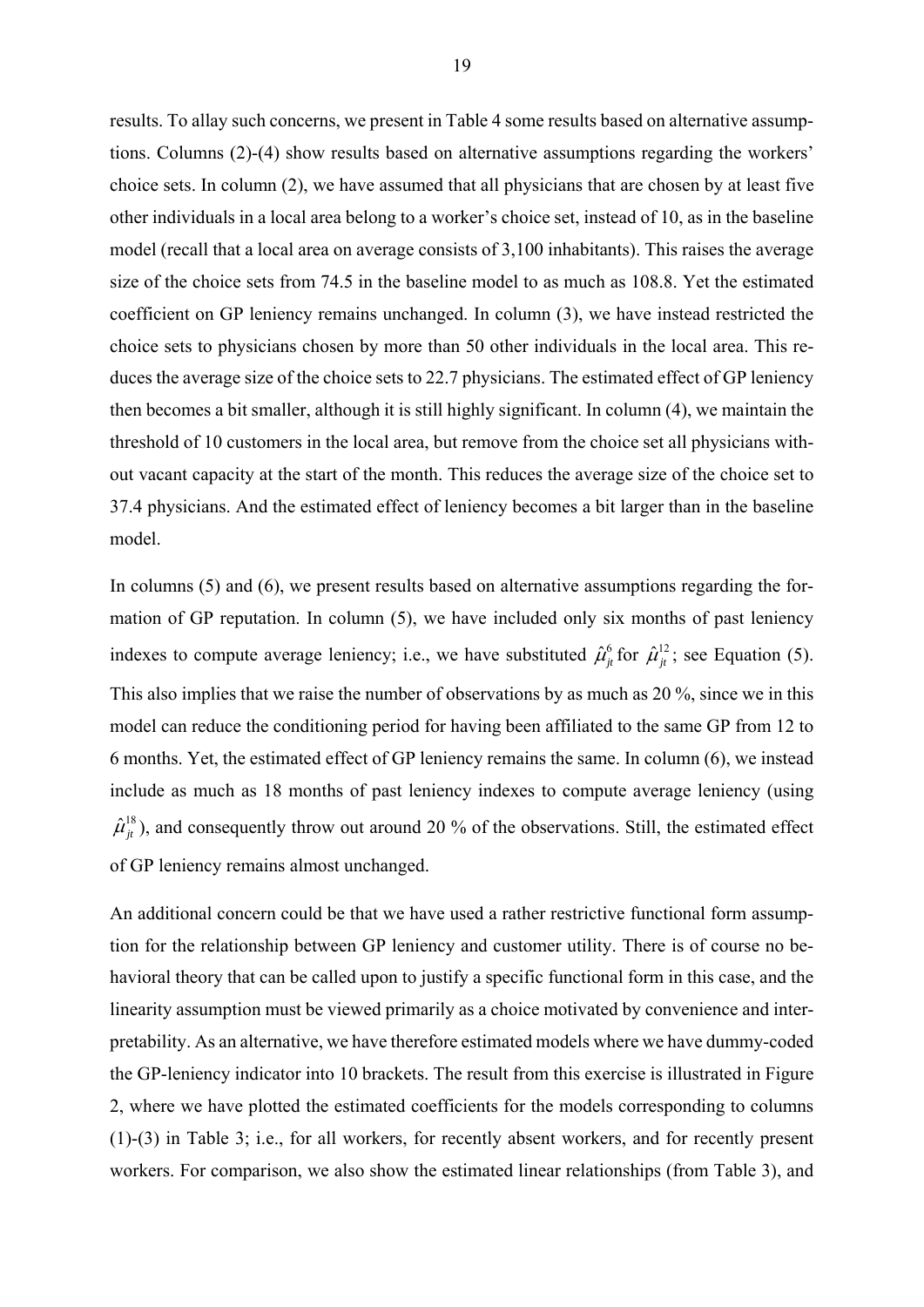results. To allay such concerns, we present in Table 4 some results based on alternative assumptions. Columns (2)-(4) show results based on alternative assumptions regarding the workers' choice sets. In column (2), we have assumed that all physicians that are chosen by at least five other individuals in a local area belong to a worker's choice set, instead of 10, as in the baseline model (recall that a local area on average consists of 3,100 inhabitants). This raises the average size of the choice sets from 74.5 in the baseline model to as much as 108.8. Yet the estimated coefficient on GP leniency remains unchanged. In column (3), we have instead restricted the choice sets to physicians chosen by more than 50 other individuals in the local area. This reduces the average size of the choice sets to 22.7 physicians. The estimated effect of GP leniency then becomes a bit smaller, although it is still highly significant. In column (4), we maintain the threshold of 10 customers in the local area, but remove from the choice set all physicians without vacant capacity at the start of the month. This reduces the average size of the choice set to 37.4 physicians. And the estimated effect of leniency becomes a bit larger than in the baseline model.

In columns (5) and (6), we present results based on alternative assumptions regarding the formation of GP reputation. In column (5), we have included only six months of past leniency indexes to compute average leniency; i.e., we have substituted  $\hat{\mu}_{j}^6$  for  $\hat{\mu}_{j}^{12}$ ; see Equation (5). This also implies that we raise the number of observations by as much as 20 %, since we in this model can reduce the conditioning period for having been affiliated to the same GP from 12 to 6 months. Yet, the estimated effect of GP leniency remains the same. In column (6), we instead include as much as 18 months of past leniency indexes to compute average leniency (using  $\hat{\mu}_{j}^{18}$ ), and consequently throw out around 20 % of the observations. Still, the estimated effect of GP leniency remains almost unchanged.

An additional concern could be that we have used a rather restrictive functional form assumption for the relationship between GP leniency and customer utility. There is of course no behavioral theory that can be called upon to justify a specific functional form in this case, and the linearity assumption must be viewed primarily as a choice motivated by convenience and interpretability. As an alternative, we have therefore estimated models where we have dummy-coded the GP-leniency indicator into 10 brackets. The result from this exercise is illustrated in Figure 2, where we have plotted the estimated coefficients for the models corresponding to columns (1)-(3) in Table 3; i.e., for all workers, for recently absent workers, and for recently present workers. For comparison, we also show the estimated linear relationships (from Table 3), and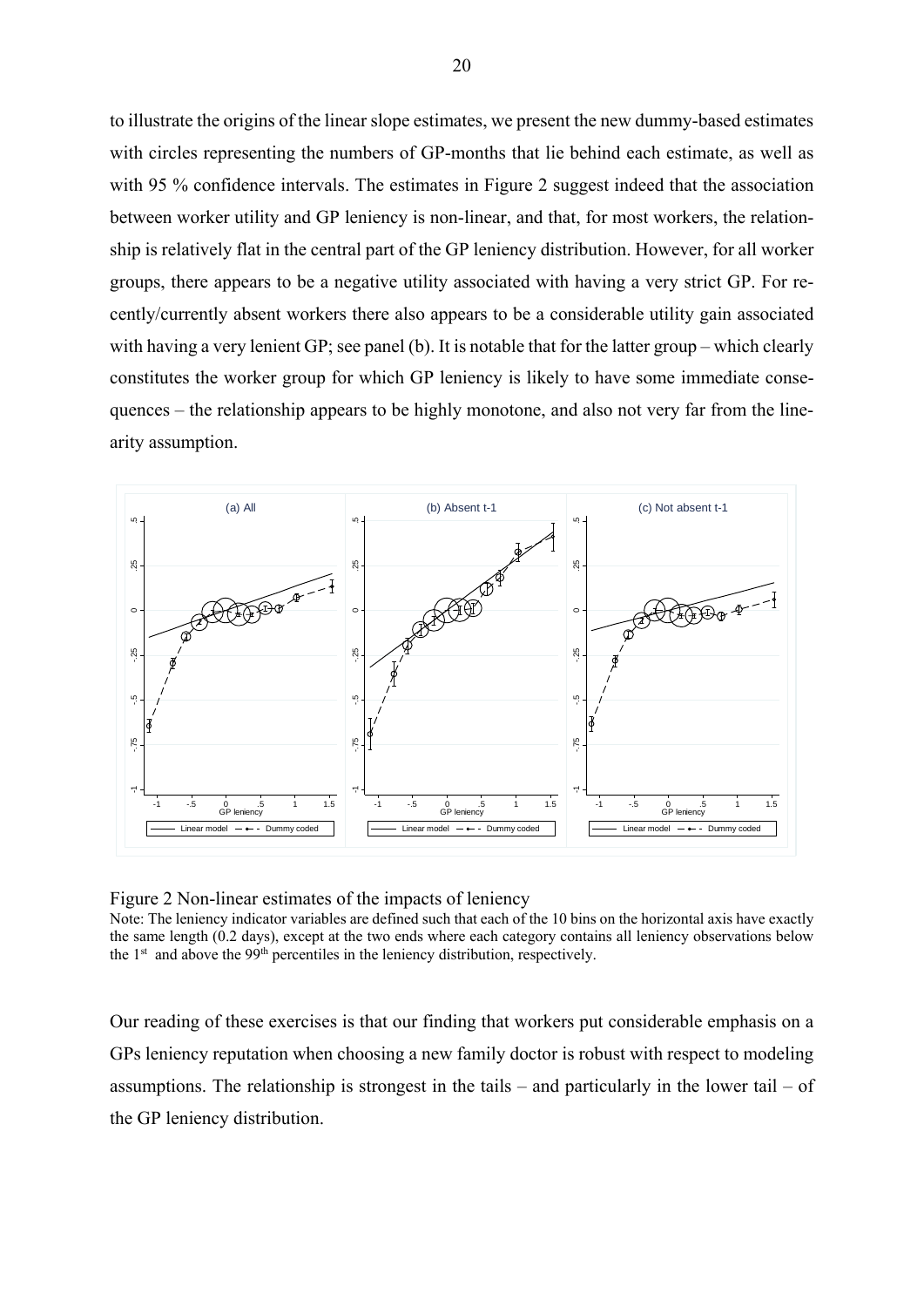to illustrate the origins of the linear slope estimates, we present the new dummy-based estimates with circles representing the numbers of GP-months that lie behind each estimate, as well as with 95 % confidence intervals. The estimates in Figure 2 suggest indeed that the association between worker utility and GP leniency is non-linear, and that, for most workers, the relationship is relatively flat in the central part of the GP leniency distribution. However, for all worker groups, there appears to be a negative utility associated with having a very strict GP. For recently/currently absent workers there also appears to be a considerable utility gain associated with having a very lenient GP; see panel (b). It is notable that for the latter group – which clearly constitutes the worker group for which GP leniency is likely to have some immediate consequences – the relationship appears to be highly monotone, and also not very far from the linearity assumption.



Figure 2 Non-linear estimates of the impacts of leniency

Note: The leniency indicator variables are defined such that each of the 10 bins on the horizontal axis have exactly the same length (0.2 days), except at the two ends where each category contains all leniency observations below the  $1<sup>st</sup>$  and above the 99<sup>th</sup> percentiles in the leniency distribution, respectively.

Our reading of these exercises is that our finding that workers put considerable emphasis on a GPs leniency reputation when choosing a new family doctor is robust with respect to modeling assumptions. The relationship is strongest in the tails – and particularly in the lower tail – of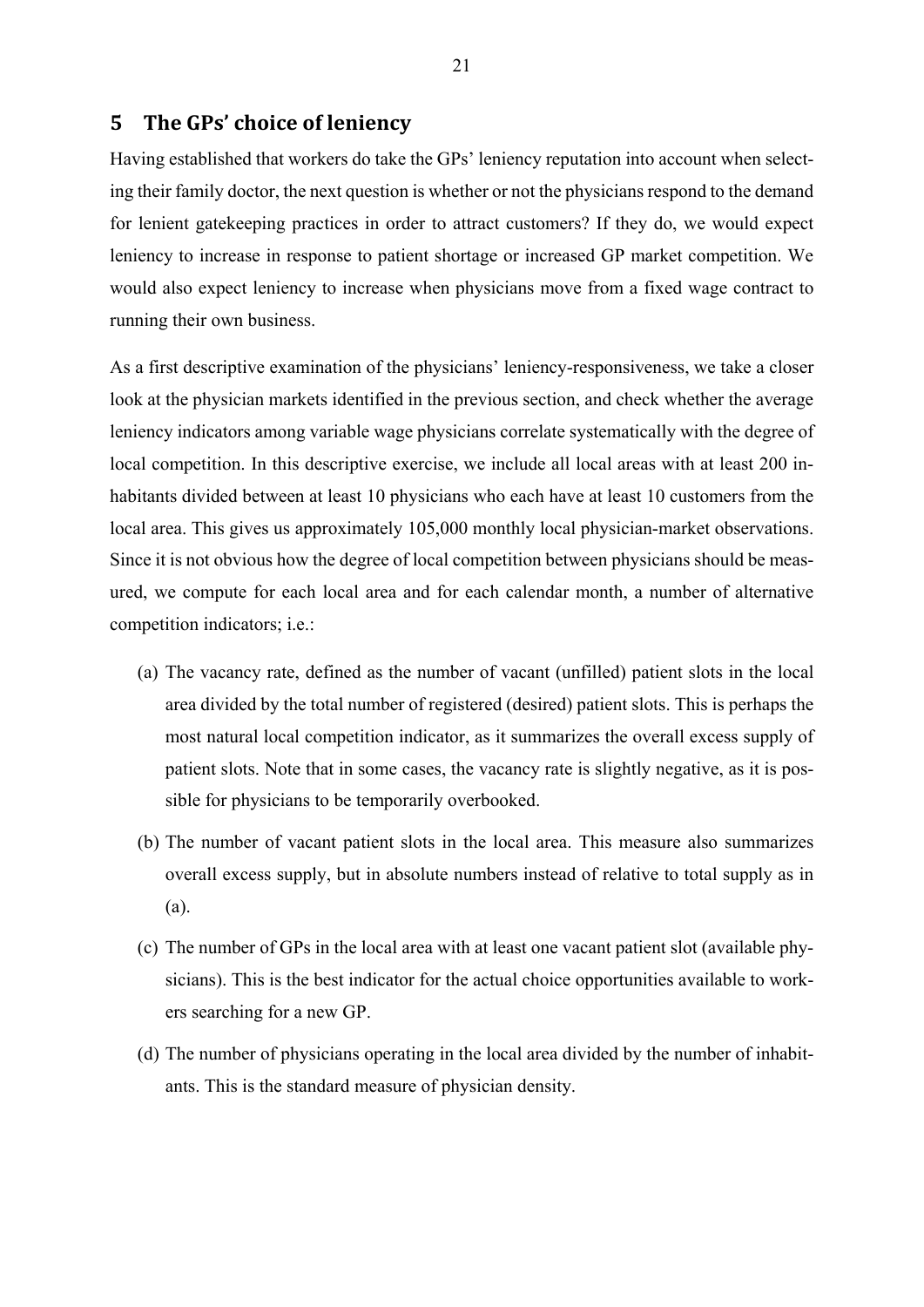#### **5 The GPs' choice of leniency**

Having established that workers do take the GPs' leniency reputation into account when selecting their family doctor, the next question is whether or not the physicians respond to the demand for lenient gatekeeping practices in order to attract customers? If they do, we would expect leniency to increase in response to patient shortage or increased GP market competition. We would also expect leniency to increase when physicians move from a fixed wage contract to running their own business.

As a first descriptive examination of the physicians' leniency-responsiveness, we take a closer look at the physician markets identified in the previous section, and check whether the average leniency indicators among variable wage physicians correlate systematically with the degree of local competition. In this descriptive exercise, we include all local areas with at least 200 inhabitants divided between at least 10 physicians who each have at least 10 customers from the local area. This gives us approximately 105,000 monthly local physician-market observations. Since it is not obvious how the degree of local competition between physicians should be measured, we compute for each local area and for each calendar month, a number of alternative competition indicators; i.e.:

- (a) The vacancy rate, defined as the number of vacant (unfilled) patient slots in the local area divided by the total number of registered (desired) patient slots. This is perhaps the most natural local competition indicator, as it summarizes the overall excess supply of patient slots. Note that in some cases, the vacancy rate is slightly negative, as it is possible for physicians to be temporarily overbooked.
- (b) The number of vacant patient slots in the local area. This measure also summarizes overall excess supply, but in absolute numbers instead of relative to total supply as in (a).
- (c) The number of GPs in the local area with at least one vacant patient slot (available physicians). This is the best indicator for the actual choice opportunities available to workers searching for a new GP.
- (d) The number of physicians operating in the local area divided by the number of inhabitants. This is the standard measure of physician density.

21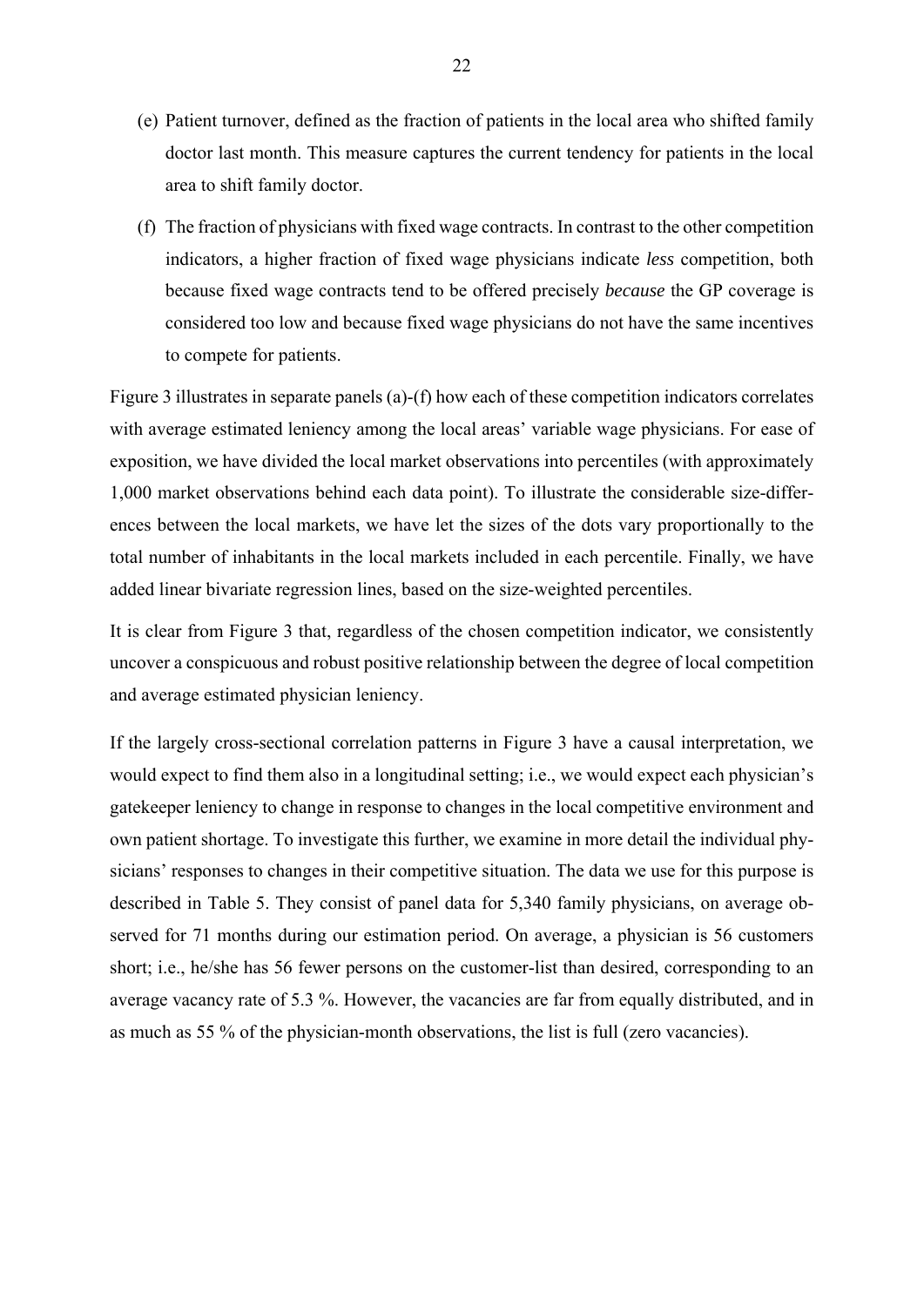- (e) Patient turnover, defined as the fraction of patients in the local area who shifted family doctor last month. This measure captures the current tendency for patients in the local area to shift family doctor.
- (f) The fraction of physicians with fixed wage contracts. In contrast to the other competition indicators, a higher fraction of fixed wage physicians indicate *less* competition, both because fixed wage contracts tend to be offered precisely *because* the GP coverage is considered too low and because fixed wage physicians do not have the same incentives to compete for patients.

Figure 3 illustrates in separate panels (a)-(f) how each of these competition indicators correlates with average estimated leniency among the local areas' variable wage physicians. For ease of exposition, we have divided the local market observations into percentiles (with approximately 1,000 market observations behind each data point). To illustrate the considerable size-differences between the local markets, we have let the sizes of the dots vary proportionally to the total number of inhabitants in the local markets included in each percentile. Finally, we have added linear bivariate regression lines, based on the size-weighted percentiles.

It is clear from Figure 3 that, regardless of the chosen competition indicator, we consistently uncover a conspicuous and robust positive relationship between the degree of local competition and average estimated physician leniency.

If the largely cross-sectional correlation patterns in Figure 3 have a causal interpretation, we would expect to find them also in a longitudinal setting; i.e., we would expect each physician's gatekeeper leniency to change in response to changes in the local competitive environment and own patient shortage. To investigate this further, we examine in more detail the individual physicians' responses to changes in their competitive situation. The data we use for this purpose is described in Table 5. They consist of panel data for 5,340 family physicians, on average observed for 71 months during our estimation period. On average, a physician is 56 customers short; i.e., he/she has 56 fewer persons on the customer-list than desired, corresponding to an average vacancy rate of 5.3 %. However, the vacancies are far from equally distributed, and in as much as 55 % of the physician-month observations, the list is full (zero vacancies).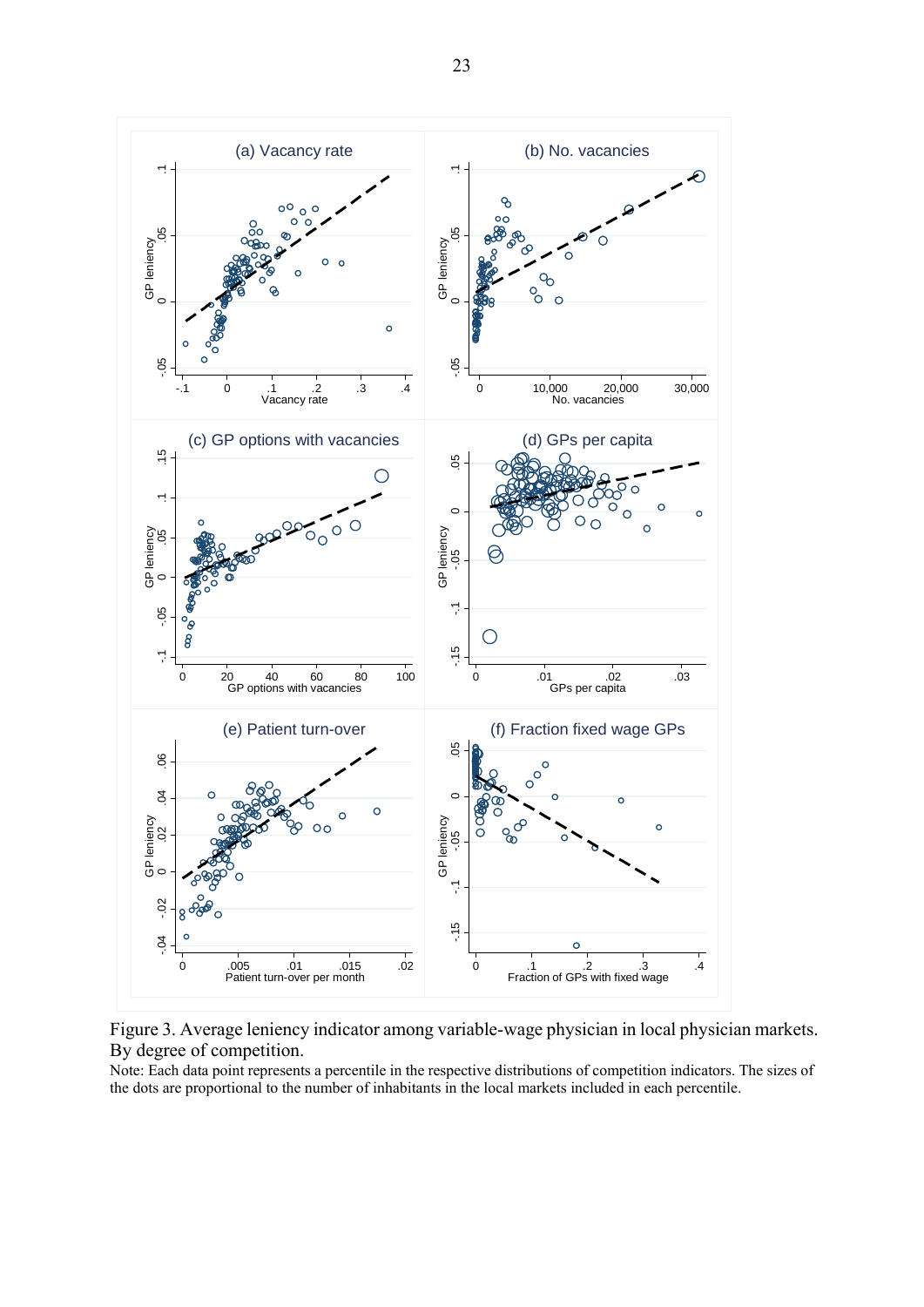

Figure 3. Average leniency indicator among variable-wage physician in local physician markets. By degree of competition.

Note: Each data point represents a percentile in the respective distributions of competition indicators. The sizes of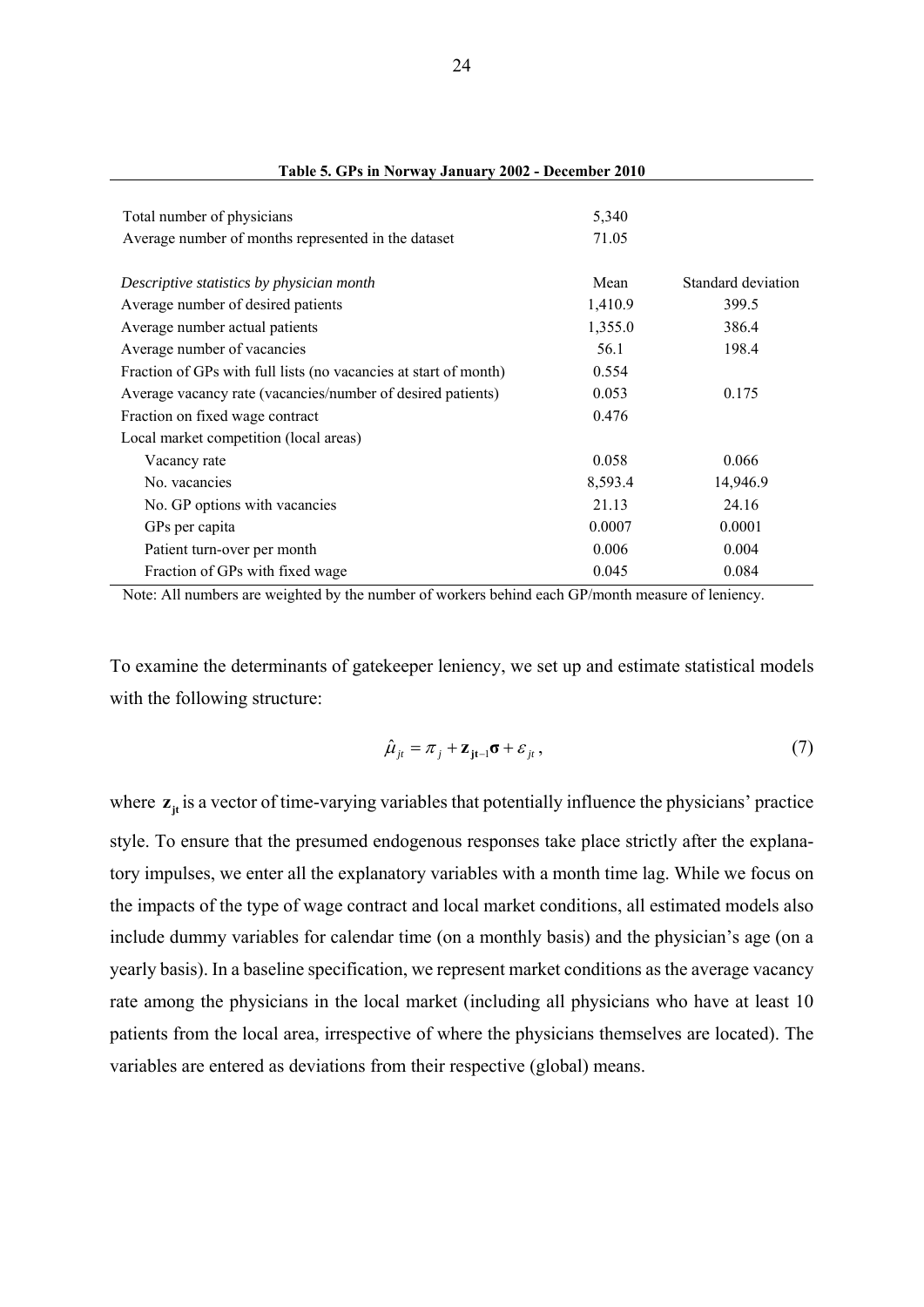| Total number of physicians                                       | 5,340   |                    |
|------------------------------------------------------------------|---------|--------------------|
| Average number of months represented in the dataset              | 71.05   |                    |
| Descriptive statistics by physician month                        | Mean    | Standard deviation |
| Average number of desired patients                               | 1,410.9 | 399.5              |
| Average number actual patients                                   | 1,355.0 | 386.4              |
| Average number of vacancies                                      | 56.1    | 198.4              |
| Fraction of GPs with full lists (no vacancies at start of month) | 0.554   |                    |
| Average vacancy rate (vacancies/number of desired patients)      | 0.053   | 0.175              |
| Fraction on fixed wage contract                                  | 0.476   |                    |
| Local market competition (local areas)                           |         |                    |
| Vacancy rate                                                     | 0.058   | 0.066              |
| No. vacancies                                                    | 8,593.4 | 14,946.9           |
| No. GP options with vacancies                                    | 21.13   | 24.16              |
| GPs per capita                                                   | 0.0007  | 0.0001             |
| Patient turn-over per month                                      | 0.006   | 0.004              |
| Fraction of GPs with fixed wage                                  | 0.045   | 0.084              |

**Table 5. GPs in Norway January 2002 - December 2010** 

Note: All numbers are weighted by the number of workers behind each GP/month measure of leniency.

To examine the determinants of gatekeeper leniency, we set up and estimate statistical models with the following structure:

$$
\hat{\mu}_{jt} = \pi_j + \mathbf{z}_{jt-1}\sigma + \varepsilon_{jt},\tag{7}
$$

where  $z_{it}$  is a vector of time-varying variables that potentially influence the physicians' practice style. To ensure that the presumed endogenous responses take place strictly after the explanatory impulses, we enter all the explanatory variables with a month time lag. While we focus on the impacts of the type of wage contract and local market conditions, all estimated models also include dummy variables for calendar time (on a monthly basis) and the physician's age (on a yearly basis). In a baseline specification, we represent market conditions as the average vacancy rate among the physicians in the local market (including all physicians who have at least 10 patients from the local area, irrespective of where the physicians themselves are located). The variables are entered as deviations from their respective (global) means.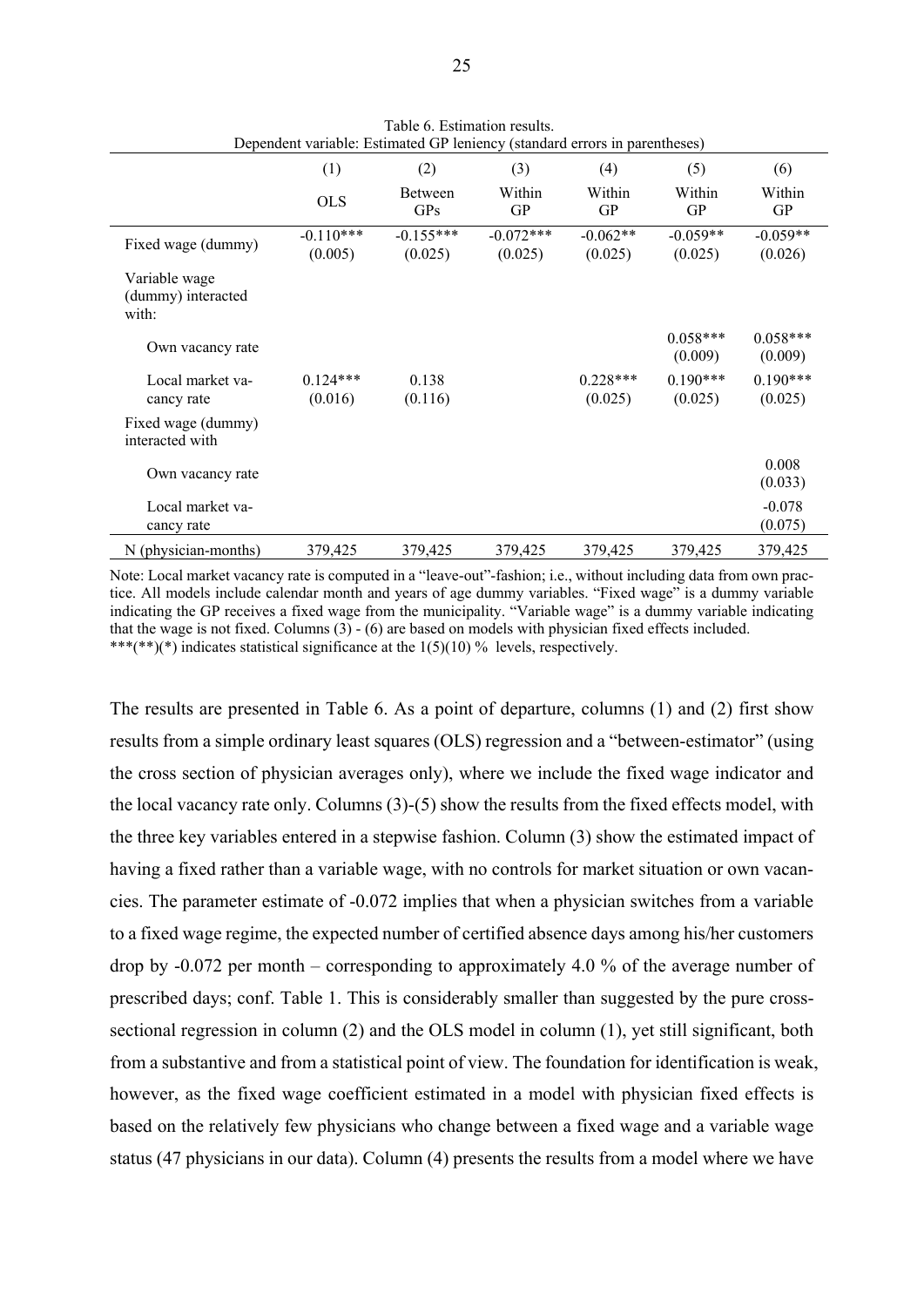|                                              | (1)                    | (2)                          | (3)                    | (4)                   | (5)                   | (6)                   |
|----------------------------------------------|------------------------|------------------------------|------------------------|-----------------------|-----------------------|-----------------------|
|                                              | <b>OLS</b>             | <b>Between</b><br><b>GPs</b> | Within<br><b>GP</b>    | Within<br><b>GP</b>   | Within<br><b>GP</b>   | Within<br><b>GP</b>   |
| Fixed wage (dummy)                           | $-0.110***$<br>(0.005) | $-0.155***$<br>(0.025)       | $-0.072***$<br>(0.025) | $-0.062**$<br>(0.025) | $-0.059**$<br>(0.025) | $-0.059**$<br>(0.026) |
| Variable wage<br>(dummy) interacted<br>with: |                        |                              |                        |                       |                       |                       |
| Own vacancy rate                             |                        |                              |                        |                       | $0.058***$<br>(0.009) | $0.058***$<br>(0.009) |
| Local market va-<br>cancy rate               | $0.124***$<br>(0.016)  | 0.138<br>(0.116)             |                        | $0.228***$<br>(0.025) | $0.190***$<br>(0.025) | $0.190***$<br>(0.025) |
| Fixed wage (dummy)<br>interacted with        |                        |                              |                        |                       |                       |                       |
| Own vacancy rate                             |                        |                              |                        |                       |                       | 0.008<br>(0.033)      |
| Local market va-<br>cancy rate               |                        |                              |                        |                       |                       | $-0.078$<br>(0.075)   |
| N (physician-months)                         | 379,425                | 379,425                      | 379,425                | 379,425               | 379,425               | 379,425               |

Table 6. Estimation results. Dependent variable: Estimated GP leniency (standard errors in parentheses)

Note: Local market vacancy rate is computed in a "leave-out"-fashion; i.e., without including data from own practice. All models include calendar month and years of age dummy variables. "Fixed wage" is a dummy variable indicating the GP receives a fixed wage from the municipality. "Variable wage" is a dummy variable indicating that the wage is not fixed. Columns  $(3)$  -  $(6)$  are based on models with physician fixed effects included. \*\*\*(\*\*)(\*) indicates statistical significance at the  $1(5)(10)$ % levels, respectively.

The results are presented in Table 6. As a point of departure, columns (1) and (2) first show results from a simple ordinary least squares (OLS) regression and a "between-estimator" (using the cross section of physician averages only), where we include the fixed wage indicator and the local vacancy rate only. Columns (3)-(5) show the results from the fixed effects model, with the three key variables entered in a stepwise fashion. Column (3) show the estimated impact of having a fixed rather than a variable wage, with no controls for market situation or own vacancies. The parameter estimate of -0.072 implies that when a physician switches from a variable to a fixed wage regime, the expected number of certified absence days among his/her customers drop by -0.072 per month – corresponding to approximately 4.0 % of the average number of prescribed days; conf. Table 1. This is considerably smaller than suggested by the pure crosssectional regression in column (2) and the OLS model in column (1), yet still significant, both from a substantive and from a statistical point of view. The foundation for identification is weak, however, as the fixed wage coefficient estimated in a model with physician fixed effects is based on the relatively few physicians who change between a fixed wage and a variable wage status (47 physicians in our data). Column (4) presents the results from a model where we have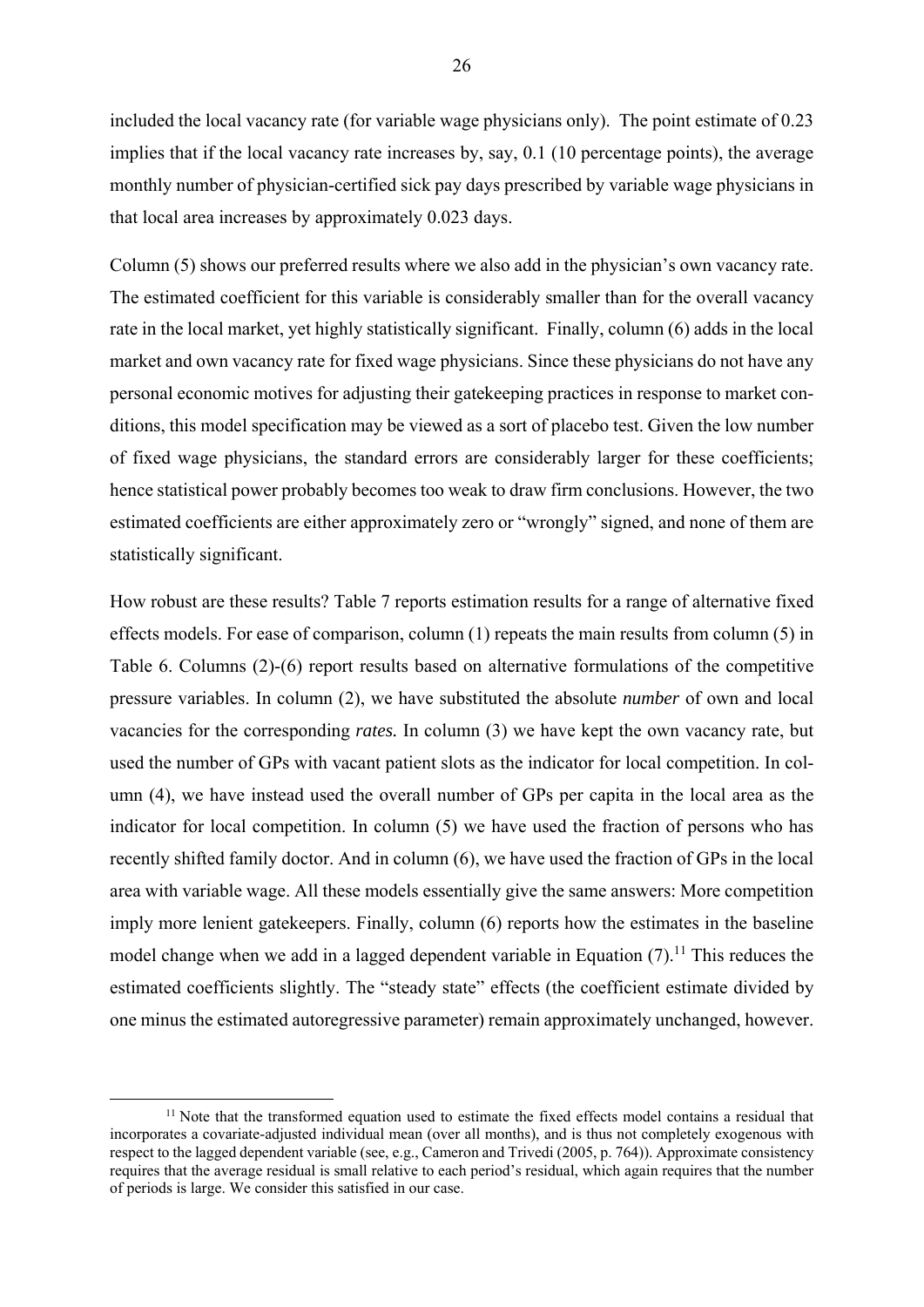included the local vacancy rate (for variable wage physicians only). The point estimate of 0.23 implies that if the local vacancy rate increases by, say, 0.1 (10 percentage points), the average monthly number of physician-certified sick pay days prescribed by variable wage physicians in that local area increases by approximately 0.023 days.

Column (5) shows our preferred results where we also add in the physician's own vacancy rate. The estimated coefficient for this variable is considerably smaller than for the overall vacancy rate in the local market, yet highly statistically significant. Finally, column (6) adds in the local market and own vacancy rate for fixed wage physicians. Since these physicians do not have any personal economic motives for adjusting their gatekeeping practices in response to market conditions, this model specification may be viewed as a sort of placebo test. Given the low number of fixed wage physicians, the standard errors are considerably larger for these coefficients; hence statistical power probably becomes too weak to draw firm conclusions. However, the two estimated coefficients are either approximately zero or "wrongly" signed, and none of them are statistically significant.

How robust are these results? Table 7 reports estimation results for a range of alternative fixed effects models. For ease of comparison, column (1) repeats the main results from column (5) in Table 6. Columns (2)-(6) report results based on alternative formulations of the competitive pressure variables. In column (2), we have substituted the absolute *number* of own and local vacancies for the corresponding *rates.* In column (3) we have kept the own vacancy rate, but used the number of GPs with vacant patient slots as the indicator for local competition. In column (4), we have instead used the overall number of GPs per capita in the local area as the indicator for local competition. In column (5) we have used the fraction of persons who has recently shifted family doctor. And in column (6), we have used the fraction of GPs in the local area with variable wage. All these models essentially give the same answers: More competition imply more lenient gatekeepers. Finally, column (6) reports how the estimates in the baseline model change when we add in a lagged dependent variable in Equation  $(7)$ .<sup>11</sup> This reduces the estimated coefficients slightly. The "steady state" effects (the coefficient estimate divided by one minus the estimated autoregressive parameter) remain approximately unchanged, however.

 $11$  Note that the transformed equation used to estimate the fixed effects model contains a residual that incorporates a covariate-adjusted individual mean (over all months), and is thus not completely exogenous with respect to the lagged dependent variable (see, e.g., Cameron and Trivedi (2005, p. 764)). Approximate consistency requires that the average residual is small relative to each period's residual, which again requires that the number of periods is large. We consider this satisfied in our case.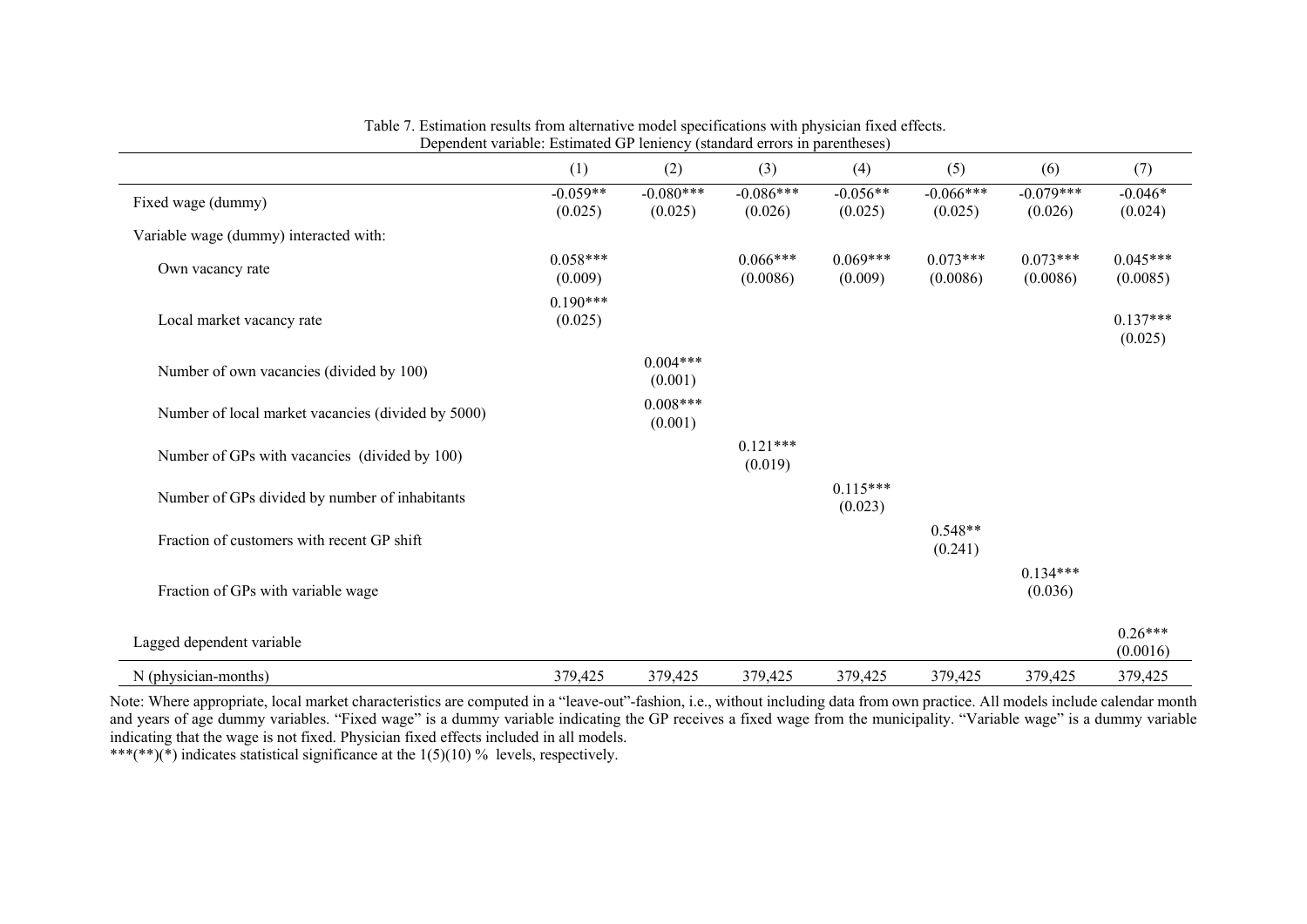|                                                    | (1)                   | (2)                    | (3)                    | (4)                   | (5)                    | (6)                    | (7)                    |
|----------------------------------------------------|-----------------------|------------------------|------------------------|-----------------------|------------------------|------------------------|------------------------|
| Fixed wage (dummy)                                 | $-0.059**$<br>(0.025) | $-0.080***$<br>(0.025) | $-0.086***$<br>(0.026) | $-0.056**$<br>(0.025) | $-0.066***$<br>(0.025) | $-0.079***$<br>(0.026) | $-0.046*$<br>(0.024)   |
| Variable wage (dummy) interacted with:             |                       |                        |                        |                       |                        |                        |                        |
| Own vacancy rate                                   | $0.058***$<br>(0.009) |                        | $0.066***$<br>(0.0086) | $0.069***$<br>(0.009) | $0.073***$<br>(0.0086) | $0.073***$<br>(0.0086) | $0.045***$<br>(0.0085) |
| Local market vacancy rate                          | $0.190***$<br>(0.025) |                        |                        |                       |                        |                        | $0.137***$<br>(0.025)  |
| Number of own vacancies (divided by 100)           |                       | $0.004***$<br>(0.001)  |                        |                       |                        |                        |                        |
| Number of local market vacancies (divided by 5000) |                       | $0.008***$<br>(0.001)  |                        |                       |                        |                        |                        |
| Number of GPs with vacancies (divided by 100)      |                       |                        | $0.121***$<br>(0.019)  |                       |                        |                        |                        |
| Number of GPs divided by number of inhabitants     |                       |                        |                        | $0.115***$<br>(0.023) |                        |                        |                        |
| Fraction of customers with recent GP shift         |                       |                        |                        |                       | $0.548**$<br>(0.241)   |                        |                        |
| Fraction of GPs with variable wage                 |                       |                        |                        |                       |                        | $0.134***$<br>(0.036)  |                        |
| Lagged dependent variable                          |                       |                        |                        |                       |                        |                        | $0.26***$<br>(0.0016)  |
| N (physician-months)                               | 379,425               | 379,425                | 379,425                | 379,425               | 379,425                | 379,425                | 379,425                |

Table 7. Estimation results from alternative model specifications with physician fixed effects. Dependent variable: Estimated GP leniency (standard errors in parentheses)

Note: Where appropriate, local market characteristics are computed in a "leave-out"-fashion, i.e., without including data from own practice. All models include calendar month and years of age dummy variables. "Fixed wage" is a dummy variable indicating the GP receives a fixed wage from the municipality. "Variable wage" is a dummy variable indicating that the wage is not fixed. Physician fixed effects included in all models.

\*\*\*(\*\*)(\*) indicates statistical significance at the 1(5)(10) % levels, respectively.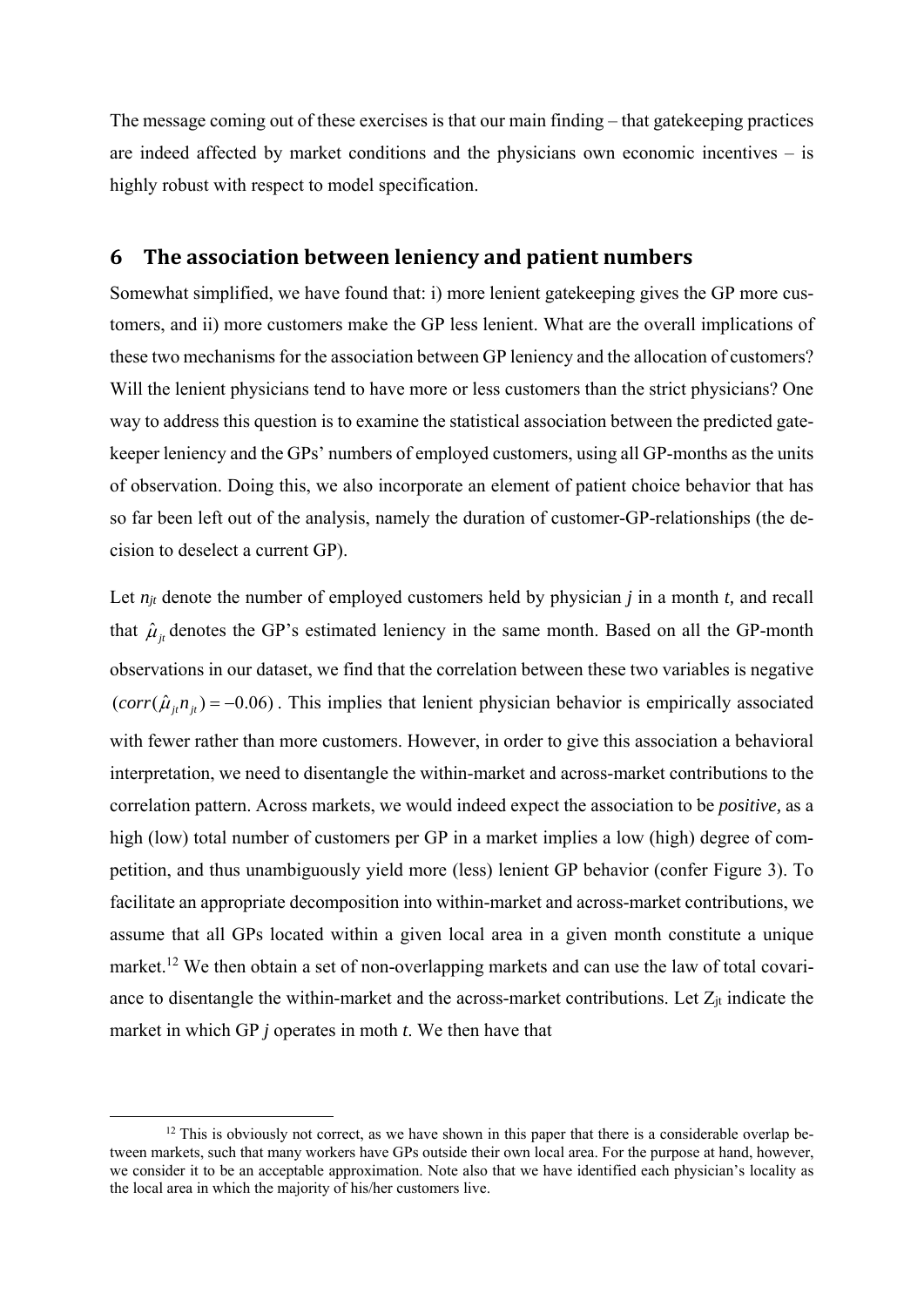The message coming out of these exercises is that our main finding – that gatekeeping practices are indeed affected by market conditions and the physicians own economic incentives – is highly robust with respect to model specification.

#### **6 The association between leniency and patient numbers**

Somewhat simplified, we have found that: i) more lenient gatekeeping gives the GP more customers, and ii) more customers make the GP less lenient. What are the overall implications of these two mechanisms for the association between GP leniency and the allocation of customers? Will the lenient physicians tend to have more or less customers than the strict physicians? One way to address this question is to examine the statistical association between the predicted gatekeeper leniency and the GPs' numbers of employed customers, using all GP-months as the units of observation. Doing this, we also incorporate an element of patient choice behavior that has so far been left out of the analysis, namely the duration of customer-GP-relationships (the decision to deselect a current GP).

Let  $n_{it}$  denote the number of employed customers held by physician *j* in a month *t*, and recall that  $\hat{\mu}_i$  denotes the GP's estimated leniency in the same month. Based on all the GP-month observations in our dataset, we find that the correlation between these two variables is negative (corr $(\hat{\mu}_{i}n_{i}) = -0.06$ ). This implies that lenient physician behavior is empirically associated with fewer rather than more customers. However, in order to give this association a behavioral interpretation, we need to disentangle the within-market and across-market contributions to the correlation pattern. Across markets, we would indeed expect the association to be *positive,* as a high (low) total number of customers per GP in a market implies a low (high) degree of competition, and thus unambiguously yield more (less) lenient GP behavior (confer Figure 3). To facilitate an appropriate decomposition into within-market and across-market contributions, we assume that all GPs located within a given local area in a given month constitute a unique market.<sup>12</sup> We then obtain a set of non-overlapping markets and can use the law of total covariance to disentangle the within-market and the across-market contributions. Let  $Z_{it}$  indicate the market in which GP *j* operates in moth *t*. We then have that

 $12$  This is obviously not correct, as we have shown in this paper that there is a considerable overlap between markets, such that many workers have GPs outside their own local area. For the purpose at hand, however, we consider it to be an acceptable approximation. Note also that we have identified each physician's locality as the local area in which the majority of his/her customers live.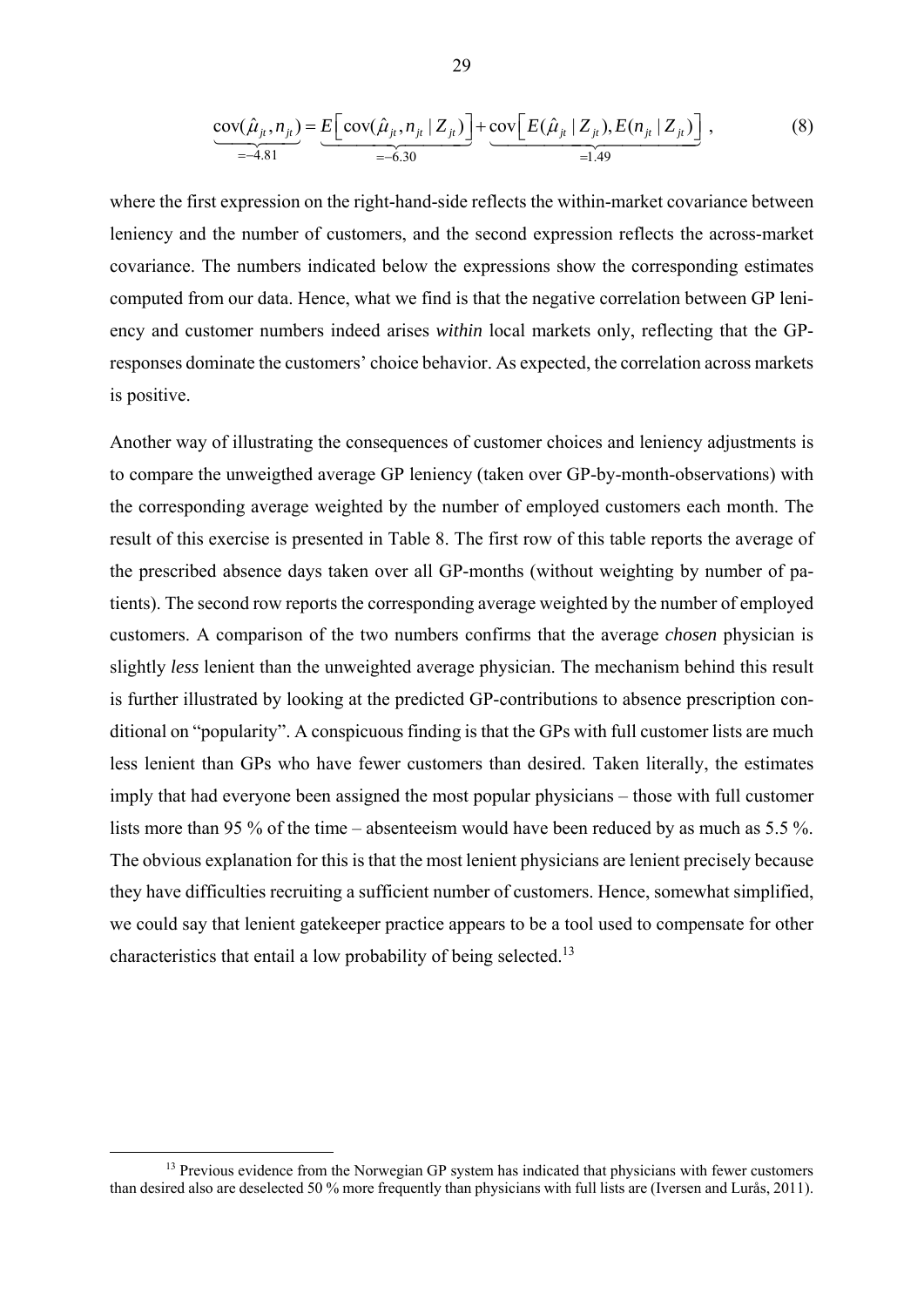$$
\underbrace{\text{cov}(\hat{\mu}_{j_t}, n_{j_t})}_{=-4.81} = \underbrace{E\Big[\text{cov}(\hat{\mu}_{j_t}, n_{j_t} \mid Z_{j_t})\Big]}_{=-6.30} + \underbrace{\text{cov}\Big[E(\hat{\mu}_{j_t} \mid Z_{j_t}), E(n_{j_t} \mid Z_{j_t})\Big]}_{=1.49}, \tag{8}
$$

where the first expression on the right-hand-side reflects the within-market covariance between leniency and the number of customers, and the second expression reflects the across-market covariance. The numbers indicated below the expressions show the corresponding estimates computed from our data. Hence, what we find is that the negative correlation between GP leniency and customer numbers indeed arises *within* local markets only, reflecting that the GPresponses dominate the customers' choice behavior. As expected, the correlation across markets is positive.

Another way of illustrating the consequences of customer choices and leniency adjustments is to compare the unweigthed average GP leniency (taken over GP-by-month-observations) with the corresponding average weighted by the number of employed customers each month. The result of this exercise is presented in Table 8. The first row of this table reports the average of the prescribed absence days taken over all GP-months (without weighting by number of patients). The second row reports the corresponding average weighted by the number of employed customers. A comparison of the two numbers confirms that the average *chosen* physician is slightly *less* lenient than the unweighted average physician. The mechanism behind this result is further illustrated by looking at the predicted GP-contributions to absence prescription conditional on "popularity". A conspicuous finding is that the GPs with full customer lists are much less lenient than GPs who have fewer customers than desired. Taken literally, the estimates imply that had everyone been assigned the most popular physicians – those with full customer lists more than 95 % of the time – absenteeism would have been reduced by as much as 5.5 %. The obvious explanation for this is that the most lenient physicians are lenient precisely because they have difficulties recruiting a sufficient number of customers. Hence, somewhat simplified, we could say that lenient gatekeeper practice appears to be a tool used to compensate for other characteristics that entail a low probability of being selected.13

<sup>&</sup>lt;sup>13</sup> Previous evidence from the Norwegian GP system has indicated that physicians with fewer customers than desired also are deselected 50 % more frequently than physicians with full lists are (Iversen and Lurås, 2011).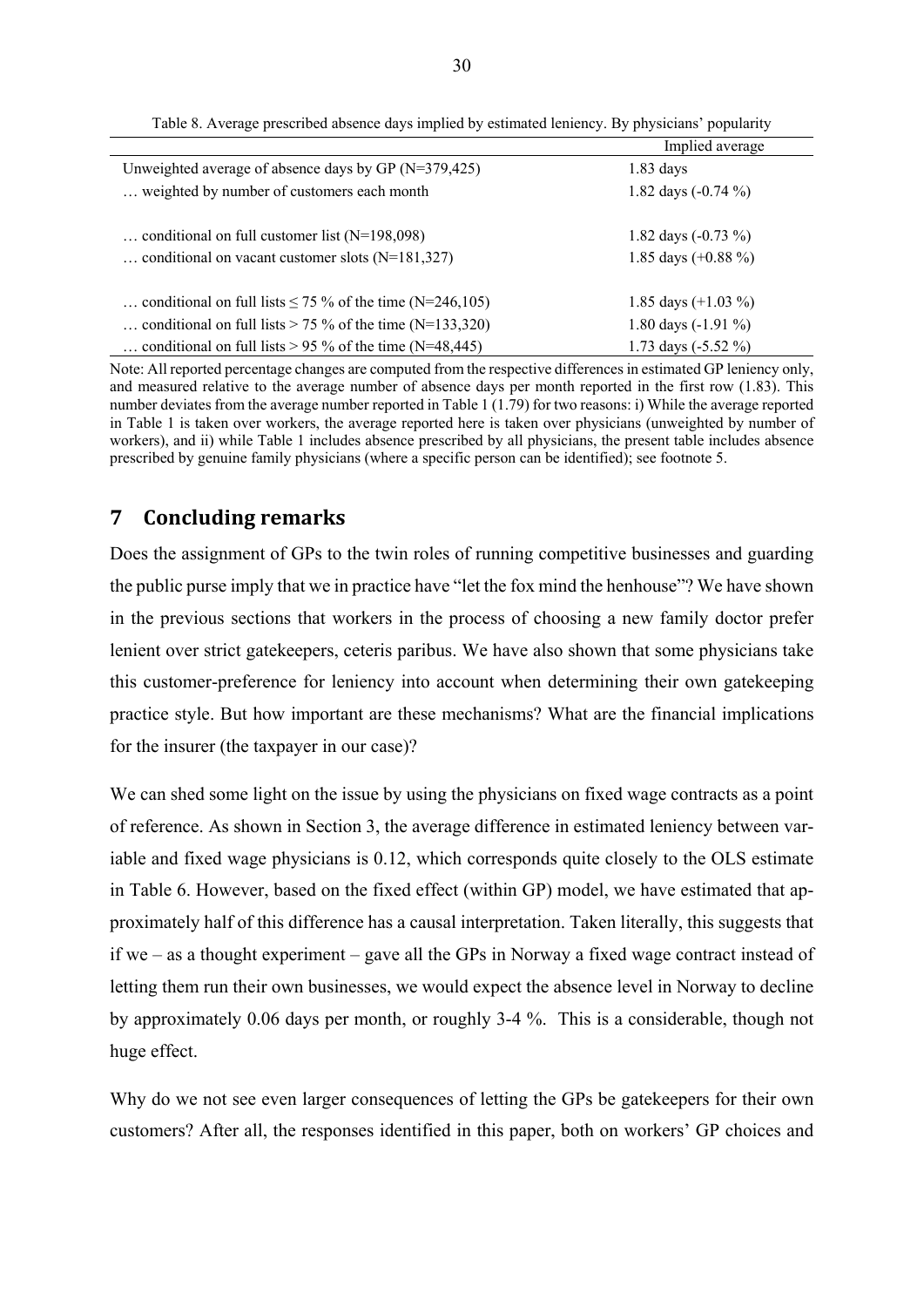|                                                               | Implied average       |
|---------------------------------------------------------------|-----------------------|
| Unweighted average of absence days by GP $(N=379,425)$        | $1.83$ days           |
| weighted by number of customers each month                    | 1.82 days $(-0.74\%)$ |
|                                                               |                       |
| conditional on full customer list $(N=198,098)$               | 1.82 days $(-0.73\%)$ |
| conditional on vacant customer slots $(N=181,327)$            | 1.85 days $(+0.88\%)$ |
|                                                               |                       |
| conditional on full lists $\leq$ 75 % of the time (N=246,105) | 1.85 days $(+1.03\%)$ |
| conditional on full lists $> 75$ % of the time (N=133,320)    | 1.80 days $(-1.91\%)$ |
| conditional on full lists > 95 % of the time $(N=48,445)$     | 1.73 days $(-5.52\%)$ |

Table 8. Average prescribed absence days implied by estimated leniency. By physicians' popularity

Note: All reported percentage changes are computed from the respective differences in estimated GP leniency only, and measured relative to the average number of absence days per month reported in the first row (1.83). This number deviates from the average number reported in Table 1 (1.79) for two reasons: i) While the average reported in Table 1 is taken over workers, the average reported here is taken over physicians (unweighted by number of workers), and ii) while Table 1 includes absence prescribed by all physicians, the present table includes absence prescribed by genuine family physicians (where a specific person can be identified); see footnote 5.

#### **7 Concluding remarks**

Does the assignment of GPs to the twin roles of running competitive businesses and guarding the public purse imply that we in practice have "let the fox mind the henhouse"? We have shown in the previous sections that workers in the process of choosing a new family doctor prefer lenient over strict gatekeepers, ceteris paribus. We have also shown that some physicians take this customer-preference for leniency into account when determining their own gatekeeping practice style. But how important are these mechanisms? What are the financial implications for the insurer (the taxpayer in our case)?

We can shed some light on the issue by using the physicians on fixed wage contracts as a point of reference. As shown in Section 3, the average difference in estimated leniency between variable and fixed wage physicians is 0.12, which corresponds quite closely to the OLS estimate in Table 6. However, based on the fixed effect (within GP) model, we have estimated that approximately half of this difference has a causal interpretation. Taken literally, this suggests that if we – as a thought experiment – gave all the GPs in Norway a fixed wage contract instead of letting them run their own businesses, we would expect the absence level in Norway to decline by approximately 0.06 days per month, or roughly 3-4 %. This is a considerable, though not huge effect.

Why do we not see even larger consequences of letting the GPs be gatekeepers for their own customers? After all, the responses identified in this paper, both on workers' GP choices and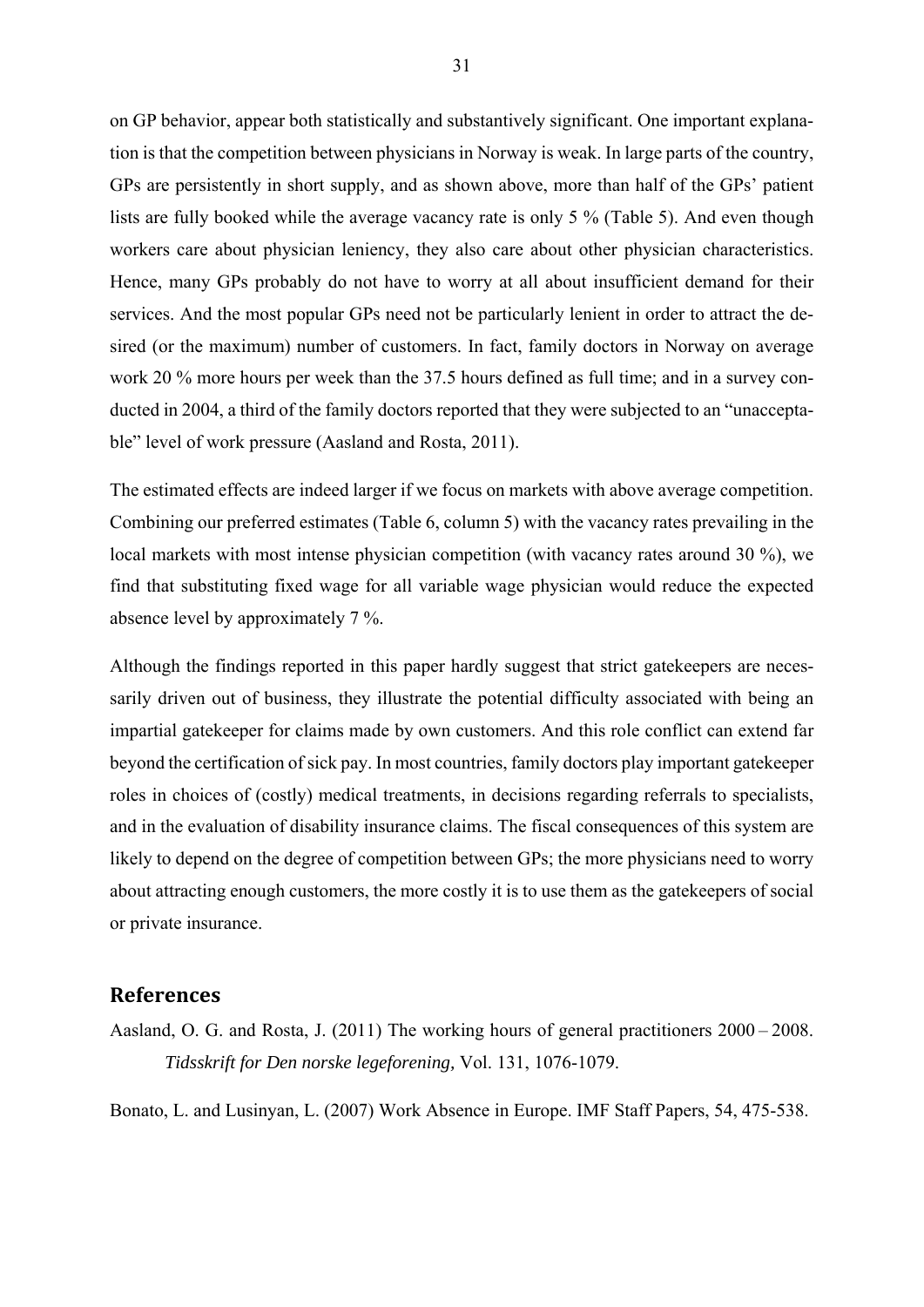on GP behavior, appear both statistically and substantively significant. One important explanation is that the competition between physicians in Norway is weak. In large parts of the country, GPs are persistently in short supply, and as shown above, more than half of the GPs' patient lists are fully booked while the average vacancy rate is only 5 % (Table 5). And even though workers care about physician leniency, they also care about other physician characteristics. Hence, many GPs probably do not have to worry at all about insufficient demand for their services. And the most popular GPs need not be particularly lenient in order to attract the desired (or the maximum) number of customers. In fact, family doctors in Norway on average work 20 % more hours per week than the 37.5 hours defined as full time; and in a survey conducted in 2004, a third of the family doctors reported that they were subjected to an "unacceptable" level of work pressure (Aasland and Rosta, 2011).

The estimated effects are indeed larger if we focus on markets with above average competition. Combining our preferred estimates (Table 6, column 5) with the vacancy rates prevailing in the local markets with most intense physician competition (with vacancy rates around 30 %), we find that substituting fixed wage for all variable wage physician would reduce the expected absence level by approximately 7 %.

Although the findings reported in this paper hardly suggest that strict gatekeepers are necessarily driven out of business, they illustrate the potential difficulty associated with being an impartial gatekeeper for claims made by own customers. And this role conflict can extend far beyond the certification of sick pay. In most countries, family doctors play important gatekeeper roles in choices of (costly) medical treatments, in decisions regarding referrals to specialists, and in the evaluation of disability insurance claims. The fiscal consequences of this system are likely to depend on the degree of competition between GPs; the more physicians need to worry about attracting enough customers, the more costly it is to use them as the gatekeepers of social or private insurance.

#### **References**

Aasland, O. G. and Rosta, J. (2011) The working hours of general practitioners 2000 – 2008. *Tidsskrift for Den norske legeforening,* Vol. 131, 1076-1079.

Bonato, L. and Lusinyan, L. (2007) Work Absence in Europe. IMF Staff Papers, 54, 475-538.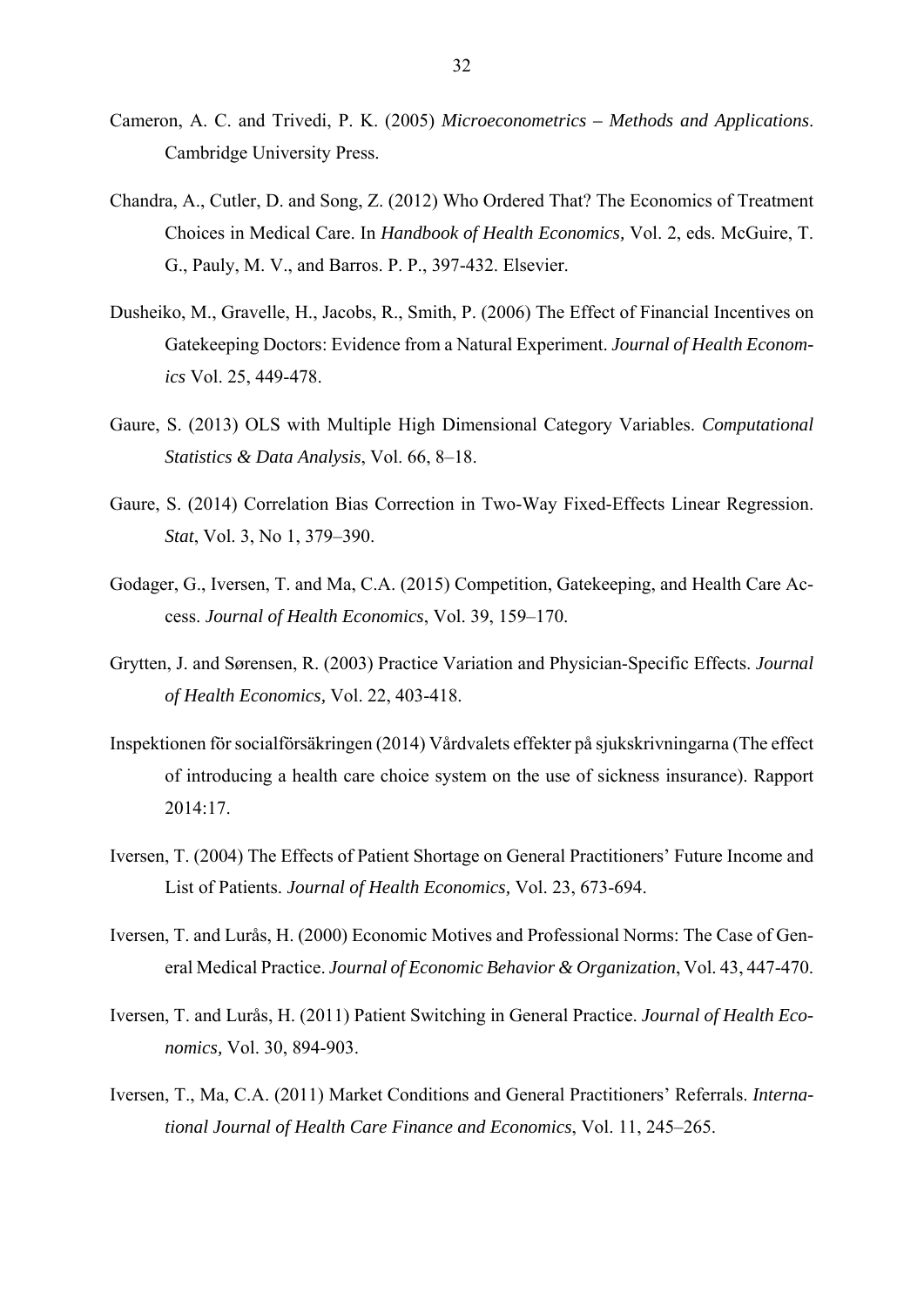- Cameron, A. C. and Trivedi, P. K. (2005) *Microeconometrics Methods and Applications*. Cambridge University Press.
- Chandra, A., Cutler, D. and Song, Z. (2012) Who Ordered That? The Economics of Treatment Choices in Medical Care. In *Handbook of Health Economics,* Vol. 2, eds. McGuire, T. G., Pauly, M. V., and Barros. P. P., 397-432. Elsevier.
- Dusheiko, M., Gravelle, H., Jacobs, R., Smith, P. (2006) The Effect of Financial Incentives on Gatekeeping Doctors: Evidence from a Natural Experiment. *Journal of Health Economics* Vol. 25, 449-478.
- Gaure, S. (2013) OLS with Multiple High Dimensional Category Variables. *Computational Statistics & Data Analysis*, Vol. 66, 8–18.
- Gaure, S. (2014) Correlation Bias Correction in Two-Way Fixed-Effects Linear Regression. *Stat*, Vol. 3, No 1, 379–390.
- Godager, G., Iversen, T. and Ma, C.A. (2015) Competition, Gatekeeping, and Health Care Access. *Journal of Health Economics*, Vol. 39, 159–170.
- Grytten, J. and Sørensen, R. (2003) Practice Variation and Physician-Specific Effects. *Journal of Health Economics,* Vol. 22, 403-418.
- Inspektionen för socialförsäkringen (2014) Vårdvalets effekter på sjukskrivningarna (The effect of introducing a health care choice system on the use of sickness insurance). Rapport 2014:17.
- Iversen, T. (2004) The Effects of Patient Shortage on General Practitioners' Future Income and List of Patients. *Journal of Health Economics,* Vol. 23, 673-694.
- Iversen, T. and Lurås, H. (2000) Economic Motives and Professional Norms: The Case of General Medical Practice. *Journal of Economic Behavior & Organization*, Vol. 43, 447-470.
- Iversen, T. and Lurås, H. (2011) Patient Switching in General Practice. *Journal of Health Economics,* Vol. 30, 894-903.
- Iversen, T., Ma, C.A. (2011) Market Conditions and General Practitioners' Referrals. *International Journal of Health Care Finance and Economics*, Vol. 11, 245–265.